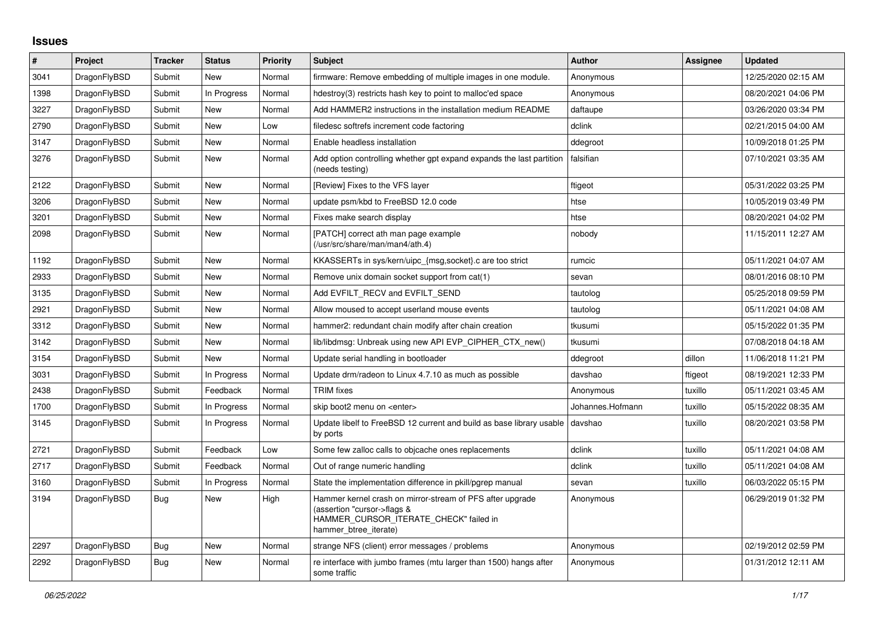## **Issues**

| #    | Project      | <b>Tracker</b> | <b>Status</b> | Priority | <b>Subject</b>                                                                                                                                              | <b>Author</b>    | Assignee | <b>Updated</b>      |
|------|--------------|----------------|---------------|----------|-------------------------------------------------------------------------------------------------------------------------------------------------------------|------------------|----------|---------------------|
| 3041 | DragonFlyBSD | Submit         | New           | Normal   | firmware: Remove embedding of multiple images in one module.                                                                                                | Anonymous        |          | 12/25/2020 02:15 AM |
| 1398 | DragonFlyBSD | Submit         | In Progress   | Normal   | hdestroy(3) restricts hash key to point to malloc'ed space                                                                                                  | Anonymous        |          | 08/20/2021 04:06 PM |
| 3227 | DragonFlyBSD | Submit         | New           | Normal   | Add HAMMER2 instructions in the installation medium README                                                                                                  | daftaupe         |          | 03/26/2020 03:34 PM |
| 2790 | DragonFlyBSD | Submit         | New           | Low      | filedesc softrefs increment code factoring                                                                                                                  | dclink           |          | 02/21/2015 04:00 AM |
| 3147 | DragonFlyBSD | Submit         | New           | Normal   | Enable headless installation                                                                                                                                | ddegroot         |          | 10/09/2018 01:25 PM |
| 3276 | DragonFlyBSD | Submit         | New           | Normal   | Add option controlling whether gpt expand expands the last partition<br>(needs testing)                                                                     | falsifian        |          | 07/10/2021 03:35 AM |
| 2122 | DragonFlyBSD | Submit         | <b>New</b>    | Normal   | [Review] Fixes to the VFS layer                                                                                                                             | ftigeot          |          | 05/31/2022 03:25 PM |
| 3206 | DragonFlyBSD | Submit         | New           | Normal   | update psm/kbd to FreeBSD 12.0 code                                                                                                                         | htse             |          | 10/05/2019 03:49 PM |
| 3201 | DragonFlyBSD | Submit         | New           | Normal   | Fixes make search display                                                                                                                                   | htse             |          | 08/20/2021 04:02 PM |
| 2098 | DragonFlyBSD | Submit         | New           | Normal   | [PATCH] correct ath man page example<br>(/usr/src/share/man/man4/ath.4)                                                                                     | nobody           |          | 11/15/2011 12:27 AM |
| 1192 | DragonFlyBSD | Submit         | New           | Normal   | KKASSERTs in sys/kern/uipc_{msg,socket}.c are too strict                                                                                                    | rumcic           |          | 05/11/2021 04:07 AM |
| 2933 | DragonFlyBSD | Submit         | New           | Normal   | Remove unix domain socket support from cat(1)                                                                                                               | sevan            |          | 08/01/2016 08:10 PM |
| 3135 | DragonFlyBSD | Submit         | New           | Normal   | Add EVFILT RECV and EVFILT SEND                                                                                                                             | tautolog         |          | 05/25/2018 09:59 PM |
| 2921 | DragonFlyBSD | Submit         | <b>New</b>    | Normal   | Allow moused to accept userland mouse events                                                                                                                | tautolog         |          | 05/11/2021 04:08 AM |
| 3312 | DragonFlyBSD | Submit         | New           | Normal   | hammer2: redundant chain modify after chain creation                                                                                                        | tkusumi          |          | 05/15/2022 01:35 PM |
| 3142 | DragonFlyBSD | Submit         | New           | Normal   | lib/libdmsg: Unbreak using new API EVP_CIPHER_CTX_new()                                                                                                     | tkusumi          |          | 07/08/2018 04:18 AM |
| 3154 | DragonFlyBSD | Submit         | New           | Normal   | Update serial handling in bootloader                                                                                                                        | ddegroot         | dillon   | 11/06/2018 11:21 PM |
| 3031 | DragonFlyBSD | Submit         | In Progress   | Normal   | Update drm/radeon to Linux 4.7.10 as much as possible                                                                                                       | davshao          | ftigeot  | 08/19/2021 12:33 PM |
| 2438 | DragonFlyBSD | Submit         | Feedback      | Normal   | <b>TRIM</b> fixes                                                                                                                                           | Anonymous        | tuxillo  | 05/11/2021 03:45 AM |
| 1700 | DragonFlyBSD | Submit         | In Progress   | Normal   | skip boot2 menu on <enter></enter>                                                                                                                          | Johannes.Hofmann | tuxillo  | 05/15/2022 08:35 AM |
| 3145 | DragonFlyBSD | Submit         | In Progress   | Normal   | Update libelf to FreeBSD 12 current and build as base library usable davshao<br>by ports                                                                    |                  | tuxillo  | 08/20/2021 03:58 PM |
| 2721 | DragonFlyBSD | Submit         | Feedback      | Low      | Some few zalloc calls to objcache ones replacements                                                                                                         | dclink           | tuxillo  | 05/11/2021 04:08 AM |
| 2717 | DragonFlyBSD | Submit         | Feedback      | Normal   | Out of range numeric handling                                                                                                                               | dclink           | tuxillo  | 05/11/2021 04:08 AM |
| 3160 | DragonFlyBSD | Submit         | In Progress   | Normal   | State the implementation difference in pkill/pgrep manual                                                                                                   | sevan            | tuxillo  | 06/03/2022 05:15 PM |
| 3194 | DragonFlyBSD | Bug            | <b>New</b>    | High     | Hammer kernel crash on mirror-stream of PFS after upgrade<br>(assertion "cursor->flags &<br>HAMMER_CURSOR_ITERATE_CHECK" failed in<br>hammer_btree_iterate) | Anonymous        |          | 06/29/2019 01:32 PM |
| 2297 | DragonFlyBSD | <b>Bug</b>     | New           | Normal   | strange NFS (client) error messages / problems                                                                                                              | Anonymous        |          | 02/19/2012 02:59 PM |
| 2292 | DragonFlyBSD | Bug            | New           | Normal   | re interface with jumbo frames (mtu larger than 1500) hangs after<br>some traffic                                                                           | Anonymous        |          | 01/31/2012 12:11 AM |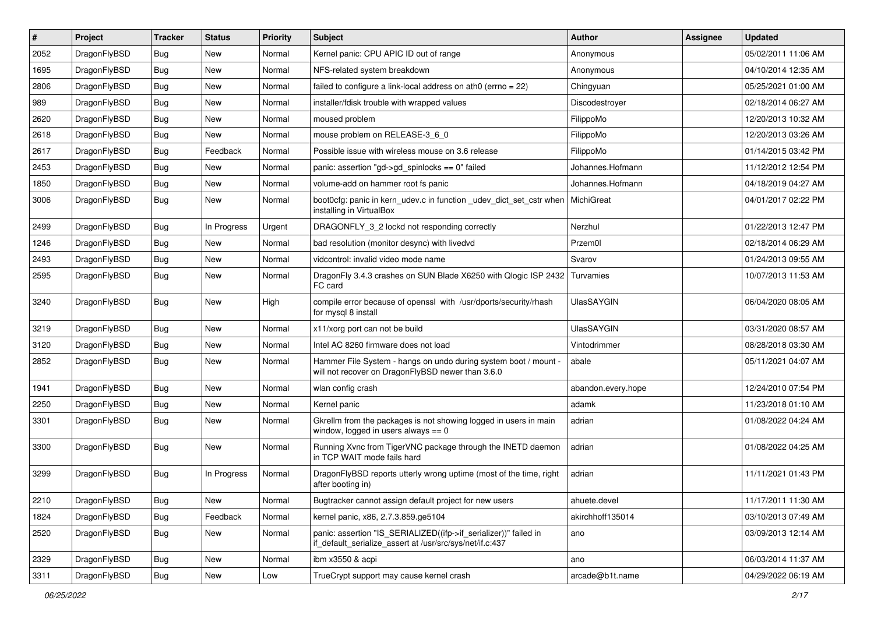| #    | Project      | <b>Tracker</b> | <b>Status</b> | <b>Priority</b> | Subject                                                                                                                      | <b>Author</b>      | <b>Assignee</b> | <b>Updated</b>      |
|------|--------------|----------------|---------------|-----------------|------------------------------------------------------------------------------------------------------------------------------|--------------------|-----------------|---------------------|
| 2052 | DragonFlyBSD | Bug            | <b>New</b>    | Normal          | Kernel panic: CPU APIC ID out of range                                                                                       | Anonymous          |                 | 05/02/2011 11:06 AM |
| 1695 | DragonFlyBSD | Bug            | <b>New</b>    | Normal          | NFS-related system breakdown                                                                                                 | Anonymous          |                 | 04/10/2014 12:35 AM |
| 2806 | DragonFlyBSD | <b>Bug</b>     | New           | Normal          | failed to configure a link-local address on ath0 (errno = 22)                                                                | Chingyuan          |                 | 05/25/2021 01:00 AM |
| 989  | DragonFlyBSD | <b>Bug</b>     | <b>New</b>    | Normal          | installer/fdisk trouble with wrapped values                                                                                  | Discodestroyer     |                 | 02/18/2014 06:27 AM |
| 2620 | DragonFlyBSD | Bug            | <b>New</b>    | Normal          | moused problem                                                                                                               | FilippoMo          |                 | 12/20/2013 10:32 AM |
| 2618 | DragonFlyBSD | <b>Bug</b>     | <b>New</b>    | Normal          | mouse problem on RELEASE-3_6_0                                                                                               | FilippoMo          |                 | 12/20/2013 03:26 AM |
| 2617 | DragonFlyBSD | Bug            | Feedback      | Normal          | Possible issue with wireless mouse on 3.6 release                                                                            | FilippoMo          |                 | 01/14/2015 03:42 PM |
| 2453 | DragonFlyBSD | <b>Bug</b>     | <b>New</b>    | Normal          | panic: assertion "gd->gd spinlocks == $0$ " failed                                                                           | Johannes.Hofmann   |                 | 11/12/2012 12:54 PM |
| 1850 | DragonFlyBSD | <b>Bug</b>     | <b>New</b>    | Normal          | volume-add on hammer root fs panic                                                                                           | Johannes.Hofmann   |                 | 04/18/2019 04:27 AM |
| 3006 | DragonFlyBSD | <b>Bug</b>     | <b>New</b>    | Normal          | boot0cfg: panic in kern_udev.c in function _udev_dict_set_cstr when<br>installing in VirtualBox                              | MichiGreat         |                 | 04/01/2017 02:22 PM |
| 2499 | DragonFlyBSD | Bug            | In Progress   | Urgent          | DRAGONFLY_3_2 lockd not responding correctly                                                                                 | Nerzhul            |                 | 01/22/2013 12:47 PM |
| 1246 | DragonFlyBSD | Bug            | <b>New</b>    | Normal          | bad resolution (monitor desync) with livedvd                                                                                 | Przem0l            |                 | 02/18/2014 06:29 AM |
| 2493 | DragonFlyBSD | <b>Bug</b>     | <b>New</b>    | Normal          | vidcontrol: invalid video mode name                                                                                          | Svarov             |                 | 01/24/2013 09:55 AM |
| 2595 | DragonFlyBSD | Bug            | <b>New</b>    | Normal          | DragonFly 3.4.3 crashes on SUN Blade X6250 with Qlogic ISP 2432<br>FC card                                                   | Turvamies          |                 | 10/07/2013 11:53 AM |
| 3240 | DragonFlyBSD | <b>Bug</b>     | <b>New</b>    | High            | compile error because of openssl with /usr/dports/security/rhash<br>for mysql 8 install                                      | <b>UlasSAYGIN</b>  |                 | 06/04/2020 08:05 AM |
| 3219 | DragonFlyBSD | Bug            | New           | Normal          | x11/xorg port can not be build                                                                                               | <b>UlasSAYGIN</b>  |                 | 03/31/2020 08:57 AM |
| 3120 | DragonFlyBSD | <b>Bug</b>     | New           | Normal          | Intel AC 8260 firmware does not load                                                                                         | Vintodrimmer       |                 | 08/28/2018 03:30 AM |
| 2852 | DragonFlyBSD | Bug            | <b>New</b>    | Normal          | Hammer File System - hangs on undo during system boot / mount -<br>will not recover on DragonFlyBSD newer than 3.6.0         | abale              |                 | 05/11/2021 04:07 AM |
| 1941 | DragonFlyBSD | Bug            | <b>New</b>    | Normal          | wlan config crash                                                                                                            | abandon.every.hope |                 | 12/24/2010 07:54 PM |
| 2250 | DragonFlyBSD | <b>Bug</b>     | <b>New</b>    | Normal          | Kernel panic                                                                                                                 | adamk              |                 | 11/23/2018 01:10 AM |
| 3301 | DragonFlyBSD | <b>Bug</b>     | New           | Normal          | Gkrellm from the packages is not showing logged in users in main<br>window, logged in users always $== 0$                    | adrian             |                 | 01/08/2022 04:24 AM |
| 3300 | DragonFlyBSD | Bug            | <b>New</b>    | Normal          | Running Xvnc from TigerVNC package through the INETD daemon<br>in TCP WAIT mode fails hard                                   | adrian             |                 | 01/08/2022 04:25 AM |
| 3299 | DragonFlyBSD | <b>Bug</b>     | In Progress   | Normal          | DragonFlyBSD reports utterly wrong uptime (most of the time, right<br>after booting in)                                      | adrian             |                 | 11/11/2021 01:43 PM |
| 2210 | DragonFlyBSD | Bug            | New           | Normal          | Bugtracker cannot assign default project for new users                                                                       | ahuete.devel       |                 | 11/17/2011 11:30 AM |
| 1824 | DragonFlyBSD | Bug            | Feedback      | Normal          | kernel panic, x86, 2.7.3.859.ge5104                                                                                          | akirchhoff135014   |                 | 03/10/2013 07:49 AM |
| 2520 | DragonFlyBSD | <b>Bug</b>     | New           | Normal          | panic: assertion "IS_SERIALIZED((ifp->if_serializer))" failed in<br>if default serialize assert at /usr/src/sys/net/if.c:437 | ano                |                 | 03/09/2013 12:14 AM |
| 2329 | DragonFlyBSD | Bug            | New           | Normal          | ibm x3550 & acpi                                                                                                             | ano                |                 | 06/03/2014 11:37 AM |
| 3311 | DragonFlyBSD | Bug            | New           | Low             | TrueCrypt support may cause kernel crash                                                                                     | arcade@b1t.name    |                 | 04/29/2022 06:19 AM |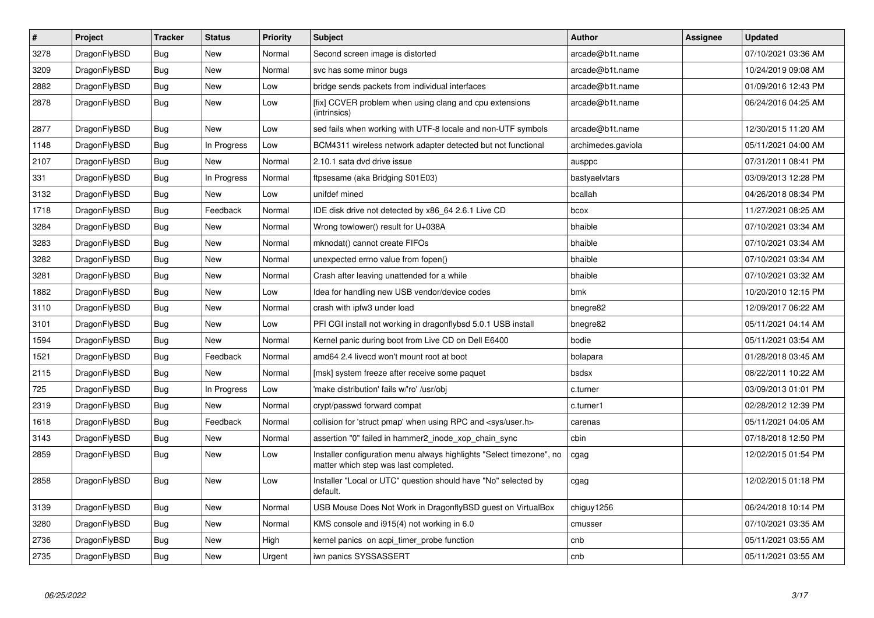| $\vert$ # | <b>Project</b> | <b>Tracker</b> | <b>Status</b> | <b>Priority</b> | <b>Subject</b>                                                                                                | Author             | Assignee | <b>Updated</b>      |
|-----------|----------------|----------------|---------------|-----------------|---------------------------------------------------------------------------------------------------------------|--------------------|----------|---------------------|
| 3278      | DragonFlyBSD   | <b>Bug</b>     | <b>New</b>    | Normal          | Second screen image is distorted                                                                              | arcade@b1t.name    |          | 07/10/2021 03:36 AM |
| 3209      | DragonFlyBSD   | Bug            | <b>New</b>    | Normal          | svc has some minor bugs                                                                                       | arcade@b1t.name    |          | 10/24/2019 09:08 AM |
| 2882      | DragonFlyBSD   | <b>Bug</b>     | <b>New</b>    | Low             | bridge sends packets from individual interfaces                                                               | arcade@b1t.name    |          | 01/09/2016 12:43 PM |
| 2878      | DragonFlyBSD   | <b>Bug</b>     | <b>New</b>    | Low             | [fix] CCVER problem when using clang and cpu extensions<br>(intrinsics)                                       | arcade@b1t.name    |          | 06/24/2016 04:25 AM |
| 2877      | DragonFlyBSD   | <b>Bug</b>     | <b>New</b>    | Low             | sed fails when working with UTF-8 locale and non-UTF symbols                                                  | arcade@b1t.name    |          | 12/30/2015 11:20 AM |
| 1148      | DragonFlyBSD   | <b>Bug</b>     | In Progress   | Low             | BCM4311 wireless network adapter detected but not functional                                                  | archimedes.gaviola |          | 05/11/2021 04:00 AM |
| 2107      | DragonFlyBSD   | Bug            | <b>New</b>    | Normal          | 2.10.1 sata dvd drive issue                                                                                   | ausppc             |          | 07/31/2011 08:41 PM |
| 331       | DragonFlyBSD   | Bug            | In Progress   | Normal          | ftpsesame (aka Bridging S01E03)                                                                               | bastyaelvtars      |          | 03/09/2013 12:28 PM |
| 3132      | DragonFlyBSD   | Bug            | <b>New</b>    | Low             | unifdef mined                                                                                                 | bcallah            |          | 04/26/2018 08:34 PM |
| 1718      | DragonFlyBSD   | <b>Bug</b>     | Feedback      | Normal          | IDE disk drive not detected by x86 64 2.6.1 Live CD                                                           | bcox               |          | 11/27/2021 08:25 AM |
| 3284      | DragonFlyBSD   | Bug            | <b>New</b>    | Normal          | Wrong towlower() result for U+038A                                                                            | bhaible            |          | 07/10/2021 03:34 AM |
| 3283      | DragonFlyBSD   | <b>Bug</b>     | <b>New</b>    | Normal          | mknodat() cannot create FIFOs                                                                                 | bhaible            |          | 07/10/2021 03:34 AM |
| 3282      | DragonFlyBSD   | Bug            | <b>New</b>    | Normal          | unexpected errno value from fopen()                                                                           | bhaible            |          | 07/10/2021 03:34 AM |
| 3281      | DragonFlyBSD   | <b>Bug</b>     | New           | Normal          | Crash after leaving unattended for a while                                                                    | bhaible            |          | 07/10/2021 03:32 AM |
| 1882      | DragonFlyBSD   | Bug            | <b>New</b>    | Low             | Idea for handling new USB vendor/device codes                                                                 | bmk                |          | 10/20/2010 12:15 PM |
| 3110      | DragonFlyBSD   | <b>Bug</b>     | <b>New</b>    | Normal          | crash with ipfw3 under load                                                                                   | bnegre82           |          | 12/09/2017 06:22 AM |
| 3101      | DragonFlyBSD   | Bug            | <b>New</b>    | Low             | PFI CGI install not working in dragonflybsd 5.0.1 USB install                                                 | bnegre82           |          | 05/11/2021 04:14 AM |
| 1594      | DragonFlyBSD   | <b>Bug</b>     | <b>New</b>    | Normal          | Kernel panic during boot from Live CD on Dell E6400                                                           | bodie              |          | 05/11/2021 03:54 AM |
| 1521      | DragonFlyBSD   | Bug            | Feedback      | Normal          | amd64 2.4 livecd won't mount root at boot                                                                     | bolapara           |          | 01/28/2018 03:45 AM |
| 2115      | DragonFlyBSD   | <b>Bug</b>     | <b>New</b>    | Normal          | [msk] system freeze after receive some paquet                                                                 | bsdsx              |          | 08/22/2011 10:22 AM |
| 725       | DragonFlyBSD   | <b>Bug</b>     | In Progress   | Low             | 'make distribution' fails w/'ro' /usr/obj                                                                     | c.turner           |          | 03/09/2013 01:01 PM |
| 2319      | DragonFlyBSD   | <b>Bug</b>     | <b>New</b>    | Normal          | crypt/passwd forward compat                                                                                   | c.turner1          |          | 02/28/2012 12:39 PM |
| 1618      | DragonFlyBSD   | Bug            | Feedback      | Normal          | collision for 'struct pmap' when using RPC and <sys user.h=""></sys>                                          | carenas            |          | 05/11/2021 04:05 AM |
| 3143      | DragonFlyBSD   | Bug            | <b>New</b>    | Normal          | assertion "0" failed in hammer2_inode_xop_chain_sync                                                          | cbin               |          | 07/18/2018 12:50 PM |
| 2859      | DragonFlyBSD   | <b>Bug</b>     | <b>New</b>    | Low             | Installer configuration menu always highlights "Select timezone", no<br>matter which step was last completed. | cgag               |          | 12/02/2015 01:54 PM |
| 2858      | DragonFlyBSD   | Bug            | <b>New</b>    | Low             | Installer "Local or UTC" question should have "No" selected by<br>default.                                    | cgag               |          | 12/02/2015 01:18 PM |
| 3139      | DragonFlyBSD   | <b>Bug</b>     | <b>New</b>    | Normal          | USB Mouse Does Not Work in DragonflyBSD guest on VirtualBox                                                   | chiguy1256         |          | 06/24/2018 10:14 PM |
| 3280      | DragonFlyBSD   | <b>Bug</b>     | <b>New</b>    | Normal          | KMS console and i915(4) not working in 6.0                                                                    | cmusser            |          | 07/10/2021 03:35 AM |
| 2736      | DragonFlyBSD   | <b>Bug</b>     | <b>New</b>    | High            | kernel panics on acpi timer probe function                                                                    | cnb                |          | 05/11/2021 03:55 AM |
| 2735      | DragonFlyBSD   | Bug            | <b>New</b>    | Urgent          | iwn panics SYSSASSERT                                                                                         | cnb                |          | 05/11/2021 03:55 AM |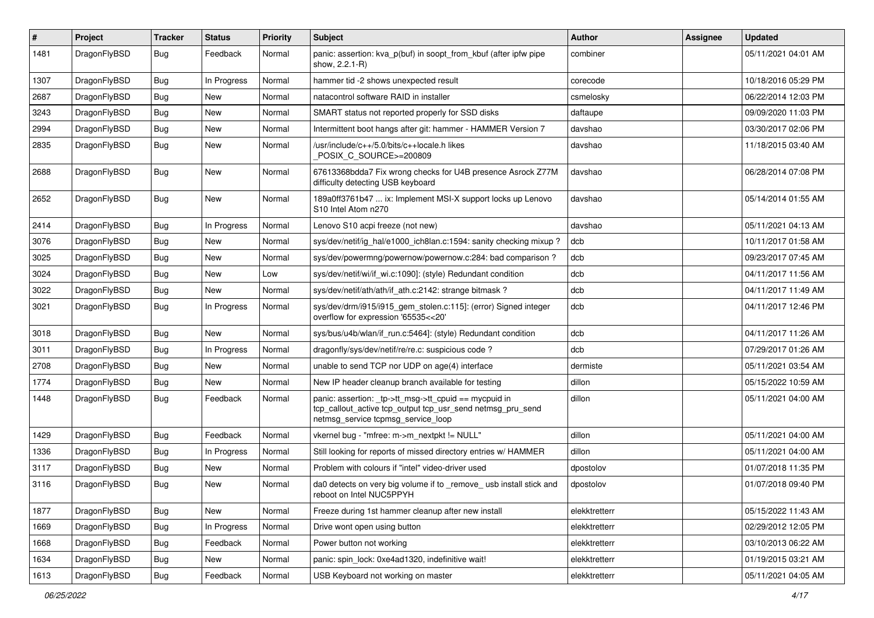| $\sharp$ | Project      | <b>Tracker</b> | <b>Status</b> | <b>Priority</b> | <b>Subject</b>                                                                                                                                           | Author        | Assignee | <b>Updated</b>      |
|----------|--------------|----------------|---------------|-----------------|----------------------------------------------------------------------------------------------------------------------------------------------------------|---------------|----------|---------------------|
| 1481     | DragonFlyBSD | Bug            | Feedback      | Normal          | panic: assertion: kva_p(buf) in soopt_from_kbuf (after ipfw pipe<br>show, 2.2.1-R)                                                                       | combiner      |          | 05/11/2021 04:01 AM |
| 1307     | DragonFlyBSD | Bug            | In Progress   | Normal          | hammer tid -2 shows unexpected result                                                                                                                    | corecode      |          | 10/18/2016 05:29 PM |
| 2687     | DragonFlyBSD | Bug            | New           | Normal          | natacontrol software RAID in installer                                                                                                                   | csmelosky     |          | 06/22/2014 12:03 PM |
| 3243     | DragonFlyBSD | Bug            | <b>New</b>    | Normal          | SMART status not reported properly for SSD disks                                                                                                         | daftaupe      |          | 09/09/2020 11:03 PM |
| 2994     | DragonFlyBSD | Bug            | <b>New</b>    | Normal          | Intermittent boot hangs after git: hammer - HAMMER Version 7                                                                                             | davshao       |          | 03/30/2017 02:06 PM |
| 2835     | DragonFlyBSD | <b>Bug</b>     | New           | Normal          | /usr/include/c++/5.0/bits/c++locale.h likes<br>POSIX C SOURCE>=200809                                                                                    | davshao       |          | 11/18/2015 03:40 AM |
| 2688     | DragonFlyBSD | Bug            | <b>New</b>    | Normal          | 67613368bdda7 Fix wrong checks for U4B presence Asrock Z77M<br>difficulty detecting USB keyboard                                                         | davshao       |          | 06/28/2014 07:08 PM |
| 2652     | DragonFlyBSD | Bug            | New           | Normal          | 189a0ff3761b47  ix: Implement MSI-X support locks up Lenovo<br>S10 Intel Atom n270                                                                       | davshao       |          | 05/14/2014 01:55 AM |
| 2414     | DragonFlyBSD | Bug            | In Progress   | Normal          | Lenovo S10 acpi freeze (not new)                                                                                                                         | davshao       |          | 05/11/2021 04:13 AM |
| 3076     | DragonFlyBSD | Bug            | <b>New</b>    | Normal          | sys/dev/netif/ig_hal/e1000_ich8lan.c:1594: sanity checking mixup?                                                                                        | dcb           |          | 10/11/2017 01:58 AM |
| 3025     | DragonFlyBSD | Bug            | New           | Normal          | sys/dev/powermng/powernow/powernow.c:284: bad comparison?                                                                                                | dcb           |          | 09/23/2017 07:45 AM |
| 3024     | DragonFlyBSD | Bug            | New           | Low             | sys/dev/netif/wi/if_wi.c:1090]: (style) Redundant condition                                                                                              | dcb           |          | 04/11/2017 11:56 AM |
| 3022     | DragonFlyBSD | Bug            | <b>New</b>    | Normal          | sys/dev/netif/ath/ath/if ath.c:2142: strange bitmask?                                                                                                    | dcb           |          | 04/11/2017 11:49 AM |
| 3021     | DragonFlyBSD | Bug            | In Progress   | Normal          | sys/dev/drm/i915/i915_gem_stolen.c:115]: (error) Signed integer<br>overflow for expression '65535<<20'                                                   | dcb           |          | 04/11/2017 12:46 PM |
| 3018     | DragonFlyBSD | Bug            | New           | Normal          | sys/bus/u4b/wlan/if run.c:5464]: (style) Redundant condition                                                                                             | dcb           |          | 04/11/2017 11:26 AM |
| 3011     | DragonFlyBSD | Bug            | In Progress   | Normal          | dragonfly/sys/dev/netif/re/re.c: suspicious code?                                                                                                        | dcb           |          | 07/29/2017 01:26 AM |
| 2708     | DragonFlyBSD | Bug            | New           | Normal          | unable to send TCP nor UDP on age(4) interface                                                                                                           | dermiste      |          | 05/11/2021 03:54 AM |
| 1774     | DragonFlyBSD | Bug            | <b>New</b>    | Normal          | New IP header cleanup branch available for testing                                                                                                       | dillon        |          | 05/15/2022 10:59 AM |
| 1448     | DragonFlyBSD | Bug            | Feedback      | Normal          | panic: assertion: tp->tt msg->tt cpuid == mycpuid in<br>tcp_callout_active tcp_output tcp_usr_send netmsg_pru_send<br>netmsg_service tcpmsg_service_loop | dillon        |          | 05/11/2021 04:00 AM |
| 1429     | DragonFlyBSD | Bug            | Feedback      | Normal          | vkernel bug - "mfree: m->m_nextpkt != NULL"                                                                                                              | dillon        |          | 05/11/2021 04:00 AM |
| 1336     | DragonFlyBSD | Bug            | In Progress   | Normal          | Still looking for reports of missed directory entries w/ HAMMER                                                                                          | dillon        |          | 05/11/2021 04:00 AM |
| 3117     | DragonFlyBSD | Bug            | <b>New</b>    | Normal          | Problem with colours if "intel" video-driver used                                                                                                        | dpostolov     |          | 01/07/2018 11:35 PM |
| 3116     | DragonFlyBSD | <b>Bug</b>     | <b>New</b>    | Normal          | da0 detects on very big volume if to _remove_ usb install stick and<br>reboot on Intel NUC5PPYH                                                          | dpostolov     |          | 01/07/2018 09:40 PM |
| 1877     | DragonFlyBSD | <b>Bug</b>     | New           | Normal          | Freeze during 1st hammer cleanup after new install                                                                                                       | elekktretterr |          | 05/15/2022 11:43 AM |
| 1669     | DragonFlyBSD | <b>Bug</b>     | In Progress   | Normal          | Drive wont open using button                                                                                                                             | elekktretterr |          | 02/29/2012 12:05 PM |
| 1668     | DragonFlyBSD | <b>Bug</b>     | Feedback      | Normal          | Power button not working                                                                                                                                 | elekktretterr |          | 03/10/2013 06:22 AM |
| 1634     | DragonFlyBSD | Bug            | New           | Normal          | panic: spin lock: 0xe4ad1320, indefinitive wait!                                                                                                         | elekktretterr |          | 01/19/2015 03:21 AM |
| 1613     | DragonFlyBSD | <b>Bug</b>     | Feedback      | Normal          | USB Keyboard not working on master                                                                                                                       | elekktretterr |          | 05/11/2021 04:05 AM |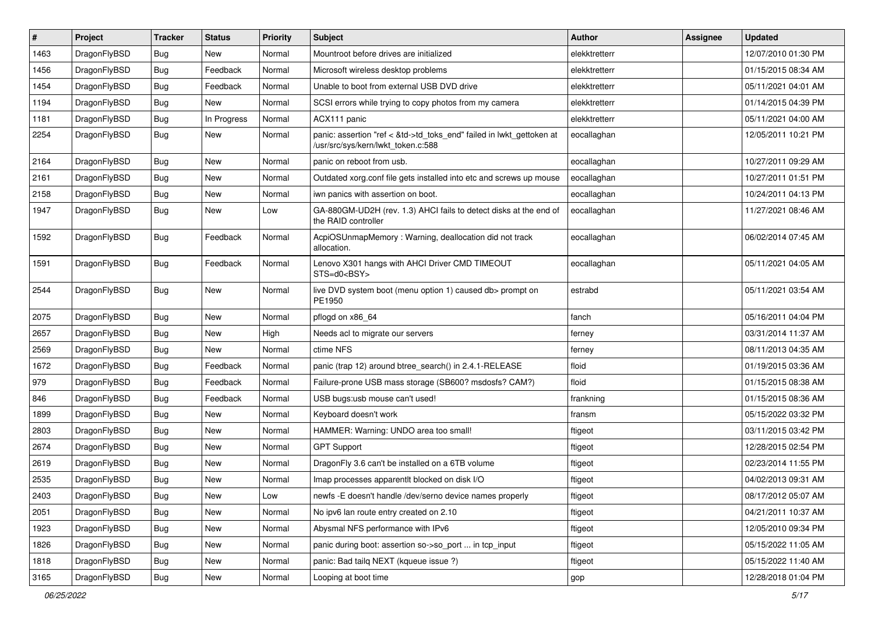| #    | Project      | <b>Tracker</b> | <b>Status</b> | <b>Priority</b> | Subject                                                                                                    | <b>Author</b> | Assignee | <b>Updated</b>      |
|------|--------------|----------------|---------------|-----------------|------------------------------------------------------------------------------------------------------------|---------------|----------|---------------------|
| 1463 | DragonFlyBSD | Bug            | New           | Normal          | Mountroot before drives are initialized                                                                    | elekktretterr |          | 12/07/2010 01:30 PM |
| 1456 | DragonFlyBSD | Bug            | Feedback      | Normal          | Microsoft wireless desktop problems                                                                        | elekktretterr |          | 01/15/2015 08:34 AM |
| 1454 | DragonFlyBSD | <b>Bug</b>     | Feedback      | Normal          | Unable to boot from external USB DVD drive                                                                 | elekktretterr |          | 05/11/2021 04:01 AM |
| 1194 | DragonFlyBSD | <b>Bug</b>     | New           | Normal          | SCSI errors while trying to copy photos from my camera                                                     | elekktretterr |          | 01/14/2015 04:39 PM |
| 1181 | DragonFlyBSD | Bug            | In Progress   | Normal          | ACX111 panic                                                                                               | elekktretterr |          | 05/11/2021 04:00 AM |
| 2254 | DragonFlyBSD | <b>Bug</b>     | <b>New</b>    | Normal          | panic: assertion "ref < &td->td toks end" failed in lwkt gettoken at<br>/usr/src/sys/kern/lwkt_token.c:588 | eocallaghan   |          | 12/05/2011 10:21 PM |
| 2164 | DragonFlyBSD | Bug            | <b>New</b>    | Normal          | panic on reboot from usb.                                                                                  | eocallaghan   |          | 10/27/2011 09:29 AM |
| 2161 | DragonFlyBSD | Bug            | <b>New</b>    | Normal          | Outdated xorg.conf file gets installed into etc and screws up mouse                                        | eocallaghan   |          | 10/27/2011 01:51 PM |
| 2158 | DragonFlyBSD | Bug            | <b>New</b>    | Normal          | iwn panics with assertion on boot.                                                                         | eocallaghan   |          | 10/24/2011 04:13 PM |
| 1947 | DragonFlyBSD | Bug            | <b>New</b>    | Low             | GA-880GM-UD2H (rev. 1.3) AHCI fails to detect disks at the end of<br>the RAID controller                   | eocallaghan   |          | 11/27/2021 08:46 AM |
| 1592 | DragonFlyBSD | <b>Bug</b>     | Feedback      | Normal          | AcpiOSUnmapMemory: Warning, deallocation did not track<br>allocation.                                      | eocallaghan   |          | 06/02/2014 07:45 AM |
| 1591 | DragonFlyBSD | Bug            | Feedback      | Normal          | Lenovo X301 hangs with AHCI Driver CMD TIMEOUT<br>$STS=d0e$ BSY>                                           | eocallaghan   |          | 05/11/2021 04:05 AM |
| 2544 | DragonFlyBSD | Bug            | <b>New</b>    | Normal          | live DVD system boot (menu option 1) caused db> prompt on<br>PE1950                                        | estrabd       |          | 05/11/2021 03:54 AM |
| 2075 | DragonFlyBSD | Bug            | <b>New</b>    | Normal          | pflogd on x86 64                                                                                           | fanch         |          | 05/16/2011 04:04 PM |
| 2657 | DragonFlyBSD | <b>Bug</b>     | New           | High            | Needs acl to migrate our servers                                                                           | ferney        |          | 03/31/2014 11:37 AM |
| 2569 | DragonFlyBSD | Bug            | <b>New</b>    | Normal          | ctime NFS                                                                                                  | ferney        |          | 08/11/2013 04:35 AM |
| 1672 | DragonFlyBSD | <b>Bug</b>     | Feedback      | Normal          | panic (trap 12) around btree search() in 2.4.1-RELEASE                                                     | floid         |          | 01/19/2015 03:36 AM |
| 979  | DragonFlyBSD | Bug            | Feedback      | Normal          | Failure-prone USB mass storage (SB600? msdosfs? CAM?)                                                      | floid         |          | 01/15/2015 08:38 AM |
| 846  | DragonFlyBSD | Bug            | Feedback      | Normal          | USB bugs:usb mouse can't used!                                                                             | frankning     |          | 01/15/2015 08:36 AM |
| 1899 | DragonFlyBSD | Bug            | <b>New</b>    | Normal          | Keyboard doesn't work                                                                                      | fransm        |          | 05/15/2022 03:32 PM |
| 2803 | DragonFlyBSD | Bug            | <b>New</b>    | Normal          | HAMMER: Warning: UNDO area too small!                                                                      | ftigeot       |          | 03/11/2015 03:42 PM |
| 2674 | DragonFlyBSD | <b>Bug</b>     | New           | Normal          | <b>GPT Support</b>                                                                                         | ftigeot       |          | 12/28/2015 02:54 PM |
| 2619 | DragonFlyBSD | <b>Bug</b>     | New           | Normal          | DragonFly 3.6 can't be installed on a 6TB volume                                                           | ftigeot       |          | 02/23/2014 11:55 PM |
| 2535 | DragonFlyBSD | Bug            | <b>New</b>    | Normal          | Imap processes apparentlt blocked on disk I/O                                                              | ftigeot       |          | 04/02/2013 09:31 AM |
| 2403 | DragonFlyBSD | Bug            | New           | Low             | newfs -E doesn't handle /dev/serno device names properly                                                   | ftigeot       |          | 08/17/2012 05:07 AM |
| 2051 | DragonFlyBSD | Bug            | New           | Normal          | No ipv6 lan route entry created on 2.10                                                                    | ftigeot       |          | 04/21/2011 10:37 AM |
| 1923 | DragonFlyBSD | <b>Bug</b>     | New           | Normal          | Abysmal NFS performance with IPv6                                                                          | ftigeot       |          | 12/05/2010 09:34 PM |
| 1826 | DragonFlyBSD | <b>Bug</b>     | New           | Normal          | panic during boot: assertion so->so_port  in tcp_input                                                     | ftigeot       |          | 05/15/2022 11:05 AM |
| 1818 | DragonFlyBSD | <b>Bug</b>     | New           | Normal          | panic: Bad tailq NEXT (kqueue issue ?)                                                                     | ftigeot       |          | 05/15/2022 11:40 AM |
| 3165 | DragonFlyBSD | Bug            | New           | Normal          | Looping at boot time                                                                                       | gop           |          | 12/28/2018 01:04 PM |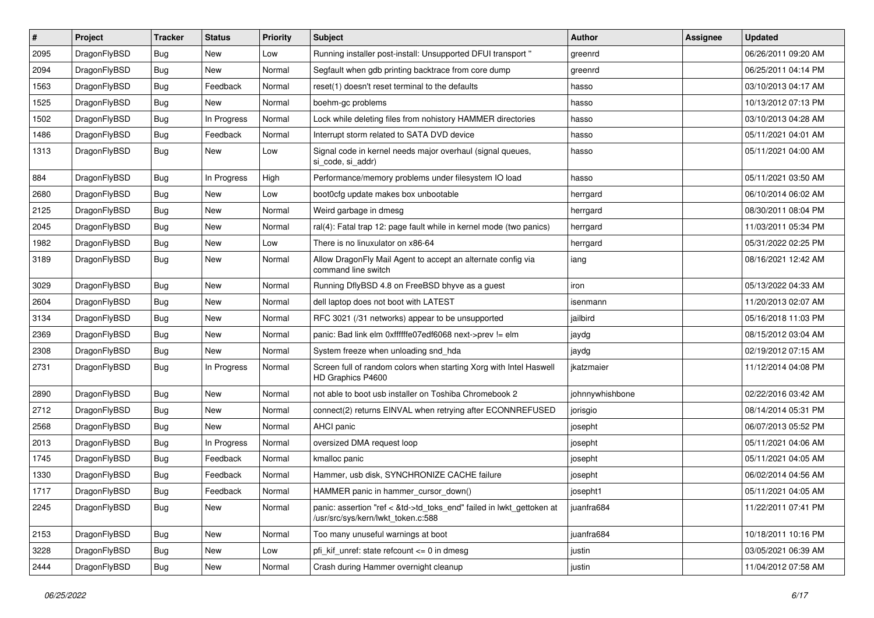| ∦    | Project      | <b>Tracker</b> | <b>Status</b> | <b>Priority</b> | <b>Subject</b>                                                                                             | <b>Author</b>   | Assignee | <b>Updated</b>      |
|------|--------------|----------------|---------------|-----------------|------------------------------------------------------------------------------------------------------------|-----------------|----------|---------------------|
| 2095 | DragonFlyBSD | Bug            | <b>New</b>    | Low             | Running installer post-install: Unsupported DFUI transport "                                               | greenrd         |          | 06/26/2011 09:20 AM |
| 2094 | DragonFlyBSD | <b>Bug</b>     | <b>New</b>    | Normal          | Segfault when gdb printing backtrace from core dump                                                        | greenrd         |          | 06/25/2011 04:14 PM |
| 1563 | DragonFlyBSD | <b>Bug</b>     | Feedback      | Normal          | reset(1) doesn't reset terminal to the defaults                                                            | hasso           |          | 03/10/2013 04:17 AM |
| 1525 | DragonFlyBSD | Bug            | <b>New</b>    | Normal          | boehm-gc problems                                                                                          | hasso           |          | 10/13/2012 07:13 PM |
| 1502 | DragonFlyBSD | Bug            | In Progress   | Normal          | Lock while deleting files from nohistory HAMMER directories                                                | hasso           |          | 03/10/2013 04:28 AM |
| 1486 | DragonFlyBSD | Bug            | Feedback      | Normal          | Interrupt storm related to SATA DVD device                                                                 | hasso           |          | 05/11/2021 04:01 AM |
| 1313 | DragonFlyBSD | Bug            | New           | Low             | Signal code in kernel needs major overhaul (signal queues,<br>si code, si addr)                            | hasso           |          | 05/11/2021 04:00 AM |
| 884  | DragonFlyBSD | Bug            | In Progress   | High            | Performance/memory problems under filesystem IO load                                                       | hasso           |          | 05/11/2021 03:50 AM |
| 2680 | DragonFlyBSD | Bug            | <b>New</b>    | Low             | boot0cfg update makes box unbootable                                                                       | herrgard        |          | 06/10/2014 06:02 AM |
| 2125 | DragonFlyBSD | <b>Bug</b>     | <b>New</b>    | Normal          | Weird garbage in dmesg                                                                                     | herrgard        |          | 08/30/2011 08:04 PM |
| 2045 | DragonFlyBSD | Bug            | <b>New</b>    | Normal          | ral(4): Fatal trap 12: page fault while in kernel mode (two panics)                                        | herrgard        |          | 11/03/2011 05:34 PM |
| 1982 | DragonFlyBSD | Bug            | <b>New</b>    | Low             | There is no linuxulator on x86-64                                                                          | herrgard        |          | 05/31/2022 02:25 PM |
| 3189 | DragonFlyBSD | Bug            | <b>New</b>    | Normal          | Allow DragonFly Mail Agent to accept an alternate config via<br>command line switch                        | iang            |          | 08/16/2021 12:42 AM |
| 3029 | DragonFlyBSD | Bug            | <b>New</b>    | Normal          | Running DflyBSD 4.8 on FreeBSD bhyve as a guest                                                            | iron            |          | 05/13/2022 04:33 AM |
| 2604 | DragonFlyBSD | Bug            | <b>New</b>    | Normal          | dell laptop does not boot with LATEST                                                                      | isenmann        |          | 11/20/2013 02:07 AM |
| 3134 | DragonFlyBSD | Bug            | <b>New</b>    | Normal          | RFC 3021 (/31 networks) appear to be unsupported                                                           | jailbird        |          | 05/16/2018 11:03 PM |
| 2369 | DragonFlyBSD | <b>Bug</b>     | New           | Normal          | panic: Bad link elm 0xffffffe07edf6068 next->prev != elm                                                   | jaydg           |          | 08/15/2012 03:04 AM |
| 2308 | DragonFlyBSD | Bug            | New           | Normal          | System freeze when unloading snd_hda                                                                       | jaydg           |          | 02/19/2012 07:15 AM |
| 2731 | DragonFlyBSD | Bug            | In Progress   | Normal          | Screen full of random colors when starting Xorg with Intel Haswell<br>HD Graphics P4600                    | jkatzmaier      |          | 11/12/2014 04:08 PM |
| 2890 | DragonFlyBSD | Bug            | New           | Normal          | not able to boot usb installer on Toshiba Chromebook 2                                                     | johnnywhishbone |          | 02/22/2016 03:42 AM |
| 2712 | DragonFlyBSD | Bug            | New           | Normal          | connect(2) returns EINVAL when retrying after ECONNREFUSED                                                 | jorisgio        |          | 08/14/2014 05:31 PM |
| 2568 | DragonFlyBSD | Bug            | New           | Normal          | <b>AHCI</b> panic                                                                                          | josepht         |          | 06/07/2013 05:52 PM |
| 2013 | DragonFlyBSD | Bug            | In Progress   | Normal          | oversized DMA request loop                                                                                 | josepht         |          | 05/11/2021 04:06 AM |
| 1745 | DragonFlyBSD | <b>Bug</b>     | Feedback      | Normal          | kmalloc panic                                                                                              | josepht         |          | 05/11/2021 04:05 AM |
| 1330 | DragonFlyBSD | Bug            | Feedback      | Normal          | Hammer, usb disk, SYNCHRONIZE CACHE failure                                                                | josepht         |          | 06/02/2014 04:56 AM |
| 1717 | DragonFlyBSD | Bug            | Feedback      | Normal          | HAMMER panic in hammer_cursor_down()                                                                       | josepht1        |          | 05/11/2021 04:05 AM |
| 2245 | DragonFlyBSD | Bug            | New           | Normal          | panic: assertion "ref < &td->td_toks_end" failed in lwkt_gettoken at<br>/usr/src/sys/kern/lwkt_token.c:588 | juanfra684      |          | 11/22/2011 07:41 PM |
| 2153 | DragonFlyBSD | Bug            | <b>New</b>    | Normal          | Too many unuseful warnings at boot                                                                         | juanfra684      |          | 10/18/2011 10:16 PM |
| 3228 | DragonFlyBSD | Bug            | New           | Low             | pfi_kif_unref: state refcount <= 0 in dmesg                                                                | justin          |          | 03/05/2021 06:39 AM |
| 2444 | DragonFlyBSD | Bug            | New           | Normal          | Crash during Hammer overnight cleanup                                                                      | justin          |          | 11/04/2012 07:58 AM |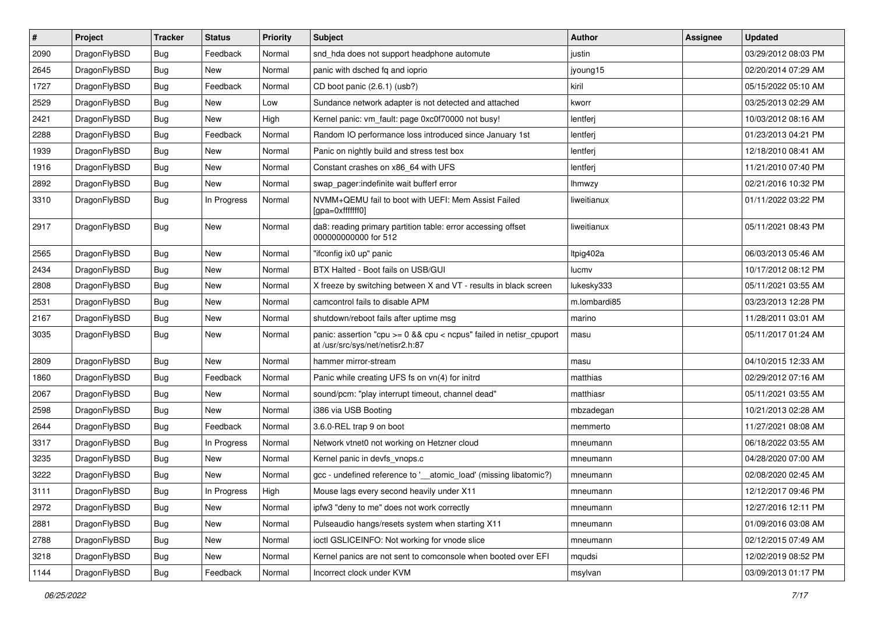| $\pmb{\#}$ | Project      | <b>Tracker</b> | <b>Status</b> | <b>Priority</b> | Subject                                                                                                 | <b>Author</b> | <b>Assignee</b> | <b>Updated</b>      |
|------------|--------------|----------------|---------------|-----------------|---------------------------------------------------------------------------------------------------------|---------------|-----------------|---------------------|
| 2090       | DragonFlyBSD | Bug            | Feedback      | Normal          | snd_hda does not support headphone automute                                                             | justin        |                 | 03/29/2012 08:03 PM |
| 2645       | DragonFlyBSD | Bug            | New           | Normal          | panic with dsched fq and ioprio                                                                         | jyoung15      |                 | 02/20/2014 07:29 AM |
| 1727       | DragonFlyBSD | Bug            | Feedback      | Normal          | CD boot panic (2.6.1) (usb?)                                                                            | kiril         |                 | 05/15/2022 05:10 AM |
| 2529       | DragonFlyBSD | Bug            | New           | Low             | Sundance network adapter is not detected and attached                                                   | kworr         |                 | 03/25/2013 02:29 AM |
| 2421       | DragonFlyBSD | Bug            | New           | High            | Kernel panic: vm_fault: page 0xc0f70000 not busy!                                                       | lentferj      |                 | 10/03/2012 08:16 AM |
| 2288       | DragonFlyBSD | Bug            | Feedback      | Normal          | Random IO performance loss introduced since January 1st                                                 | lentferj      |                 | 01/23/2013 04:21 PM |
| 1939       | DragonFlyBSD | Bug            | New           | Normal          | Panic on nightly build and stress test box                                                              | lentferj      |                 | 12/18/2010 08:41 AM |
| 1916       | DragonFlyBSD | Bug            | <b>New</b>    | Normal          | Constant crashes on x86 64 with UFS                                                                     | lentferj      |                 | 11/21/2010 07:40 PM |
| 2892       | DragonFlyBSD | Bug            | New           | Normal          | swap pager:indefinite wait bufferf error                                                                | lhmwzy        |                 | 02/21/2016 10:32 PM |
| 3310       | DragonFlyBSD | Bug            | In Progress   | Normal          | NVMM+QEMU fail to boot with UEFI: Mem Assist Failed<br>[gpa=0xfffffff0]                                 | liweitianux   |                 | 01/11/2022 03:22 PM |
| 2917       | DragonFlyBSD | Bug            | New           | Normal          | da8: reading primary partition table: error accessing offset<br>000000000000 for 512                    | liweitianux   |                 | 05/11/2021 08:43 PM |
| 2565       | DragonFlyBSD | Bug            | <b>New</b>    | Normal          | "ifconfig ix0 up" panic                                                                                 | Itpig402a     |                 | 06/03/2013 05:46 AM |
| 2434       | DragonFlyBSD | Bug            | <b>New</b>    | Normal          | BTX Halted - Boot fails on USB/GUI                                                                      | lucmv         |                 | 10/17/2012 08:12 PM |
| 2808       | DragonFlyBSD | Bug            | <b>New</b>    | Normal          | X freeze by switching between X and VT - results in black screen                                        | lukesky333    |                 | 05/11/2021 03:55 AM |
| 2531       | DragonFlyBSD | Bug            | <b>New</b>    | Normal          | camcontrol fails to disable APM                                                                         | m.lombardi85  |                 | 03/23/2013 12:28 PM |
| 2167       | DragonFlyBSD | Bug            | <b>New</b>    | Normal          | shutdown/reboot fails after uptime msg                                                                  | marino        |                 | 11/28/2011 03:01 AM |
| 3035       | DragonFlyBSD | Bug            | New           | Normal          | panic: assertion "cpu >= 0 && cpu < ncpus" failed in netisr_cpuport<br>at /usr/src/sys/net/netisr2.h:87 | masu          |                 | 05/11/2017 01:24 AM |
| 2809       | DragonFlyBSD | Bug            | <b>New</b>    | Normal          | hammer mirror-stream                                                                                    | masu          |                 | 04/10/2015 12:33 AM |
| 1860       | DragonFlyBSD | Bug            | Feedback      | Normal          | Panic while creating UFS fs on vn(4) for initrd                                                         | matthias      |                 | 02/29/2012 07:16 AM |
| 2067       | DragonFlyBSD | Bug            | <b>New</b>    | Normal          | sound/pcm: "play interrupt timeout, channel dead"                                                       | matthiasr     |                 | 05/11/2021 03:55 AM |
| 2598       | DragonFlyBSD | Bug            | New           | Normal          | i386 via USB Booting                                                                                    | mbzadegan     |                 | 10/21/2013 02:28 AM |
| 2644       | DragonFlyBSD | Bug            | Feedback      | Normal          | 3.6.0-REL trap 9 on boot                                                                                | memmerto      |                 | 11/27/2021 08:08 AM |
| 3317       | DragonFlyBSD | Bug            | In Progress   | Normal          | Network vtnet0 not working on Hetzner cloud                                                             | mneumann      |                 | 06/18/2022 03:55 AM |
| 3235       | DragonFlyBSD | Bug            | New           | Normal          | Kernel panic in devfs vnops.c                                                                           | mneumann      |                 | 04/28/2020 07:00 AM |
| 3222       | DragonFlyBSD | Bug            | <b>New</b>    | Normal          | gcc - undefined reference to '__atomic_load' (missing libatomic?)                                       | mneumann      |                 | 02/08/2020 02:45 AM |
| 3111       | DragonFlyBSD | Bug            | In Progress   | High            | Mouse lags every second heavily under X11                                                               | mneumann      |                 | 12/12/2017 09:46 PM |
| 2972       | DragonFlyBSD | Bug            | New           | Normal          | ipfw3 "deny to me" does not work correctly                                                              | mneumann      |                 | 12/27/2016 12:11 PM |
| 2881       | DragonFlyBSD | Bug            | New           | Normal          | Pulseaudio hangs/resets system when starting X11                                                        | mneumann      |                 | 01/09/2016 03:08 AM |
| 2788       | DragonFlyBSD | Bug            | New           | Normal          | ioctl GSLICEINFO: Not working for vnode slice                                                           | mneumann      |                 | 02/12/2015 07:49 AM |
| 3218       | DragonFlyBSD | Bug            | New           | Normal          | Kernel panics are not sent to comconsole when booted over EFI                                           | mqudsi        |                 | 12/02/2019 08:52 PM |
| 1144       | DragonFlyBSD | <b>Bug</b>     | Feedback      | Normal          | Incorrect clock under KVM                                                                               | msylvan       |                 | 03/09/2013 01:17 PM |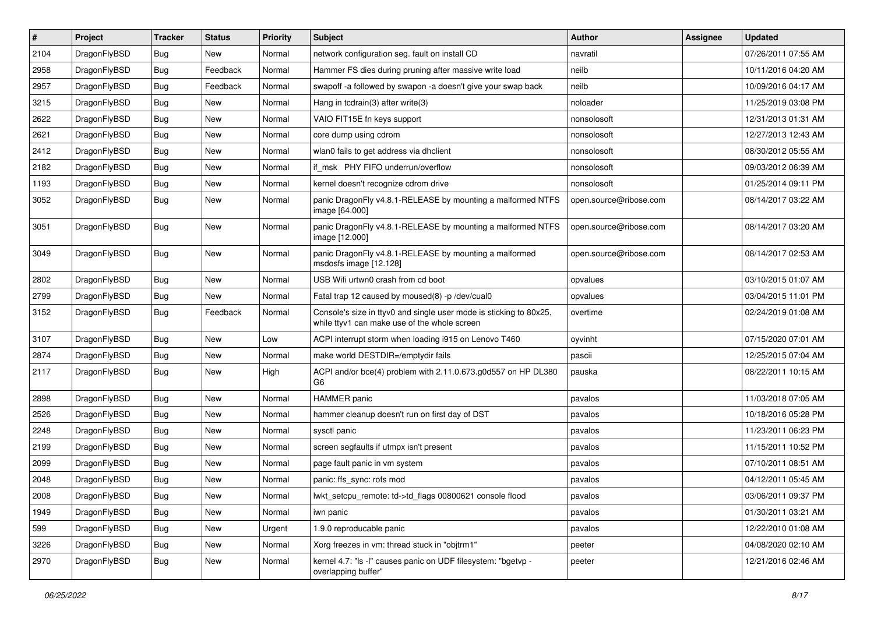| #    | Project      | <b>Tracker</b> | <b>Status</b> | <b>Priority</b> | Subject                                                                                                            | <b>Author</b>          | <b>Assignee</b> | <b>Updated</b>      |
|------|--------------|----------------|---------------|-----------------|--------------------------------------------------------------------------------------------------------------------|------------------------|-----------------|---------------------|
| 2104 | DragonFlyBSD | Bug            | New           | Normal          | network configuration seg. fault on install CD                                                                     | navratil               |                 | 07/26/2011 07:55 AM |
| 2958 | DragonFlyBSD | Bug            | Feedback      | Normal          | Hammer FS dies during pruning after massive write load                                                             | neilb                  |                 | 10/11/2016 04:20 AM |
| 2957 | DragonFlyBSD | Bug            | Feedback      | Normal          | swapoff -a followed by swapon -a doesn't give your swap back                                                       | neilb                  |                 | 10/09/2016 04:17 AM |
| 3215 | DragonFlyBSD | Bug            | New           | Normal          | Hang in tcdrain(3) after write(3)                                                                                  | noloader               |                 | 11/25/2019 03:08 PM |
| 2622 | DragonFlyBSD | Bug            | <b>New</b>    | Normal          | VAIO FIT15E fn keys support                                                                                        | nonsolosoft            |                 | 12/31/2013 01:31 AM |
| 2621 | DragonFlyBSD | Bug            | New           | Normal          | core dump using cdrom                                                                                              | nonsolosoft            |                 | 12/27/2013 12:43 AM |
| 2412 | DragonFlyBSD | Bug            | New           | Normal          | wlan0 fails to get address via dhclient                                                                            | nonsolosoft            |                 | 08/30/2012 05:55 AM |
| 2182 | DragonFlyBSD | Bug            | New           | Normal          | if msk PHY FIFO underrun/overflow                                                                                  | nonsolosoft            |                 | 09/03/2012 06:39 AM |
| 1193 | DragonFlyBSD | Bug            | New           | Normal          | kernel doesn't recognize cdrom drive                                                                               | nonsolosoft            |                 | 01/25/2014 09:11 PM |
| 3052 | DragonFlyBSD | <b>Bug</b>     | New           | Normal          | panic DragonFly v4.8.1-RELEASE by mounting a malformed NTFS<br>image [64.000]                                      | open.source@ribose.com |                 | 08/14/2017 03:22 AM |
| 3051 | DragonFlyBSD | Bug            | New           | Normal          | panic DragonFly v4.8.1-RELEASE by mounting a malformed NTFS<br>image [12.000]                                      | open.source@ribose.com |                 | 08/14/2017 03:20 AM |
| 3049 | DragonFlyBSD | Bug            | <b>New</b>    | Normal          | panic DragonFly v4.8.1-RELEASE by mounting a malformed<br>msdosfs image [12.128]                                   | open.source@ribose.com |                 | 08/14/2017 02:53 AM |
| 2802 | DragonFlyBSD | Bug            | <b>New</b>    | Normal          | USB Wifi urtwn0 crash from cd boot                                                                                 | opvalues               |                 | 03/10/2015 01:07 AM |
| 2799 | DragonFlyBSD | Bug            | <b>New</b>    | Normal          | Fatal trap 12 caused by moused(8) -p /dev/cual0                                                                    | opvalues               |                 | 03/04/2015 11:01 PM |
| 3152 | DragonFlyBSD | Bug            | Feedback      | Normal          | Console's size in ttyv0 and single user mode is sticking to 80x25,<br>while ttyv1 can make use of the whole screen | overtime               |                 | 02/24/2019 01:08 AM |
| 3107 | DragonFlyBSD | Bug            | <b>New</b>    | Low             | ACPI interrupt storm when loading i915 on Lenovo T460                                                              | oyvinht                |                 | 07/15/2020 07:01 AM |
| 2874 | DragonFlyBSD | Bug            | <b>New</b>    | Normal          | make world DESTDIR=/emptydir fails                                                                                 | pascii                 |                 | 12/25/2015 07:04 AM |
| 2117 | DragonFlyBSD | Bug            | New           | High            | ACPI and/or bce(4) problem with 2.11.0.673.g0d557 on HP DL380<br>G6                                                | pauska                 |                 | 08/22/2011 10:15 AM |
| 2898 | DragonFlyBSD | Bug            | <b>New</b>    | Normal          | HAMMER panic                                                                                                       | pavalos                |                 | 11/03/2018 07:05 AM |
| 2526 | DragonFlyBSD | Bug            | <b>New</b>    | Normal          | hammer cleanup doesn't run on first day of DST                                                                     | pavalos                |                 | 10/18/2016 05:28 PM |
| 2248 | DragonFlyBSD | Bug            | <b>New</b>    | Normal          | sysctl panic                                                                                                       | pavalos                |                 | 11/23/2011 06:23 PM |
| 2199 | DragonFlyBSD | Bug            | New           | Normal          | screen segfaults if utmpx isn't present                                                                            | pavalos                |                 | 11/15/2011 10:52 PM |
| 2099 | DragonFlyBSD | Bug            | New           | Normal          | page fault panic in vm system                                                                                      | pavalos                |                 | 07/10/2011 08:51 AM |
| 2048 | DragonFlyBSD | Bug            | <b>New</b>    | Normal          | panic: ffs_sync: rofs mod                                                                                          | pavalos                |                 | 04/12/2011 05:45 AM |
| 2008 | DragonFlyBSD | Bug            | New           | Normal          | lwkt_setcpu_remote: td->td_flags 00800621 console flood                                                            | pavalos                |                 | 03/06/2011 09:37 PM |
| 1949 | DragonFlyBSD | Bug            | New           | Normal          | iwn panic                                                                                                          | pavalos                |                 | 01/30/2011 03:21 AM |
| 599  | DragonFlyBSD | <b>Bug</b>     | New           | Urgent          | 1.9.0 reproducable panic                                                                                           | pavalos                |                 | 12/22/2010 01:08 AM |
| 3226 | DragonFlyBSD | <b>Bug</b>     | New           | Normal          | Xorg freezes in vm: thread stuck in "objtrm1"                                                                      | peeter                 |                 | 04/08/2020 02:10 AM |
| 2970 | DragonFlyBSD | Bug            | New           | Normal          | kernel 4.7: "Is -I" causes panic on UDF filesystem: "bgetvp -<br>overlapping buffer"                               | peeter                 |                 | 12/21/2016 02:46 AM |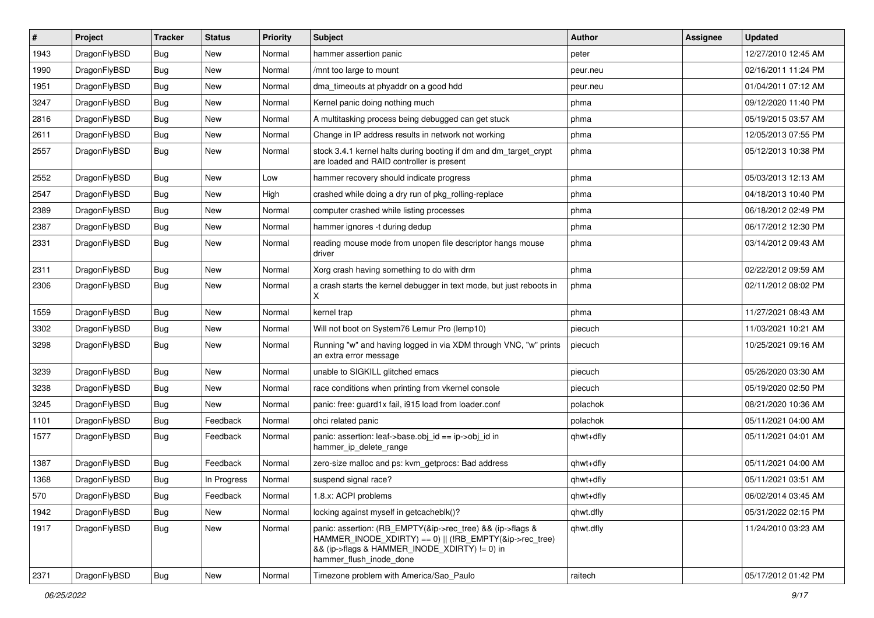| #    | Project      | <b>Tracker</b> | <b>Status</b> | <b>Priority</b> | Subject                                                                                                                                                                                           | <b>Author</b> | Assignee | <b>Updated</b>      |
|------|--------------|----------------|---------------|-----------------|---------------------------------------------------------------------------------------------------------------------------------------------------------------------------------------------------|---------------|----------|---------------------|
| 1943 | DragonFlyBSD | Bug            | New           | Normal          | hammer assertion panic                                                                                                                                                                            | peter         |          | 12/27/2010 12:45 AM |
| 1990 | DragonFlyBSD | Bug            | <b>New</b>    | Normal          | /mnt too large to mount                                                                                                                                                                           | peur.neu      |          | 02/16/2011 11:24 PM |
| 1951 | DragonFlyBSD | Bug            | New           | Normal          | dma_timeouts at phyaddr on a good hdd                                                                                                                                                             | peur.neu      |          | 01/04/2011 07:12 AM |
| 3247 | DragonFlyBSD | Bug            | New           | Normal          | Kernel panic doing nothing much                                                                                                                                                                   | phma          |          | 09/12/2020 11:40 PM |
| 2816 | DragonFlyBSD | Bug            | <b>New</b>    | Normal          | A multitasking process being debugged can get stuck                                                                                                                                               | phma          |          | 05/19/2015 03:57 AM |
| 2611 | DragonFlyBSD | Bug            | <b>New</b>    | Normal          | Change in IP address results in network not working                                                                                                                                               | phma          |          | 12/05/2013 07:55 PM |
| 2557 | DragonFlyBSD | Bug            | New           | Normal          | stock 3.4.1 kernel halts during booting if dm and dm_target_crypt<br>are loaded and RAID controller is present                                                                                    | phma          |          | 05/12/2013 10:38 PM |
| 2552 | DragonFlyBSD | Bug            | New           | Low             | hammer recovery should indicate progress                                                                                                                                                          | phma          |          | 05/03/2013 12:13 AM |
| 2547 | DragonFlyBSD | Bug            | <b>New</b>    | High            | crashed while doing a dry run of pkg_rolling-replace                                                                                                                                              | phma          |          | 04/18/2013 10:40 PM |
| 2389 | DragonFlyBSD | <b>Bug</b>     | New           | Normal          | computer crashed while listing processes                                                                                                                                                          | phma          |          | 06/18/2012 02:49 PM |
| 2387 | DragonFlyBSD | <b>Bug</b>     | New           | Normal          | hammer ignores -t during dedup                                                                                                                                                                    | phma          |          | 06/17/2012 12:30 PM |
| 2331 | DragonFlyBSD | Bug            | New           | Normal          | reading mouse mode from unopen file descriptor hangs mouse<br>driver                                                                                                                              | phma          |          | 03/14/2012 09:43 AM |
| 2311 | DragonFlyBSD | Bug            | <b>New</b>    | Normal          | Xorg crash having something to do with drm                                                                                                                                                        | phma          |          | 02/22/2012 09:59 AM |
| 2306 | DragonFlyBSD | Bug            | <b>New</b>    | Normal          | a crash starts the kernel debugger in text mode, but just reboots in<br>X                                                                                                                         | phma          |          | 02/11/2012 08:02 PM |
| 1559 | DragonFlyBSD | Bug            | <b>New</b>    | Normal          | kernel trap                                                                                                                                                                                       | phma          |          | 11/27/2021 08:43 AM |
| 3302 | DragonFlyBSD | <b>Bug</b>     | New           | Normal          | Will not boot on System76 Lemur Pro (lemp10)                                                                                                                                                      | piecuch       |          | 11/03/2021 10:21 AM |
| 3298 | DragonFlyBSD | Bug            | <b>New</b>    | Normal          | Running "w" and having logged in via XDM through VNC, "w" prints<br>an extra error message                                                                                                        | piecuch       |          | 10/25/2021 09:16 AM |
| 3239 | DragonFlyBSD | Bug            | <b>New</b>    | Normal          | unable to SIGKILL glitched emacs                                                                                                                                                                  | piecuch       |          | 05/26/2020 03:30 AM |
| 3238 | DragonFlyBSD | <b>Bug</b>     | <b>New</b>    | Normal          | race conditions when printing from vkernel console                                                                                                                                                | piecuch       |          | 05/19/2020 02:50 PM |
| 3245 | DragonFlyBSD | <b>Bug</b>     | <b>New</b>    | Normal          | panic: free: guard1x fail, i915 load from loader.conf                                                                                                                                             | polachok      |          | 08/21/2020 10:36 AM |
| 1101 | DragonFlyBSD | <b>Bug</b>     | Feedback      | Normal          | ohci related panic                                                                                                                                                                                | polachok      |          | 05/11/2021 04:00 AM |
| 1577 | DragonFlyBSD | Bug            | Feedback      | Normal          | panic: assertion: leaf->base.obj_id == ip->obj_id in<br>hammer_ip_delete_range                                                                                                                    | qhwt+dfly     |          | 05/11/2021 04:01 AM |
| 1387 | DragonFlyBSD | Bug            | Feedback      | Normal          | zero-size malloc and ps: kvm_getprocs: Bad address                                                                                                                                                | qhwt+dfly     |          | 05/11/2021 04:00 AM |
| 1368 | DragonFlyBSD | <b>Bug</b>     | In Progress   | Normal          | suspend signal race?                                                                                                                                                                              | qhwt+dfly     |          | 05/11/2021 03:51 AM |
| 570  | DragonFlyBSD | <b>Bug</b>     | Feedback      | Normal          | 1.8.x: ACPI problems                                                                                                                                                                              | qhwt+dfly     |          | 06/02/2014 03:45 AM |
| 1942 | DragonFlyBSD | <b>Bug</b>     | New           | Normal          | locking against myself in getcacheblk()?                                                                                                                                                          | qhwt.dfly     |          | 05/31/2022 02:15 PM |
| 1917 | DragonFlyBSD | Bug            | New           | Normal          | panic: assertion: (RB EMPTY(&ip->rec tree) && (ip->flags &<br>HAMMER INODE XDIRTY) == 0)    (!RB EMPTY(&ip->rec tree)<br>&& (ip->flags & HAMMER_INODE_XDIRTY) != 0) in<br>hammer_flush_inode_done | qhwt.dfly     |          | 11/24/2010 03:23 AM |
| 2371 | DragonFlyBSD | <b>Bug</b>     | New           | Normal          | Timezone problem with America/Sao Paulo                                                                                                                                                           | raitech       |          | 05/17/2012 01:42 PM |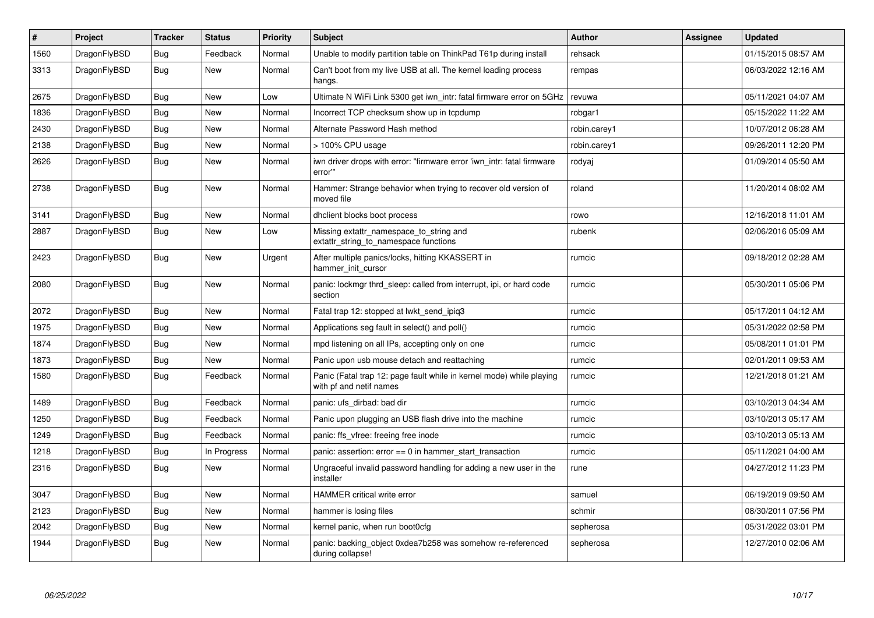| $\vert$ # | Project      | <b>Tracker</b> | <b>Status</b> | <b>Priority</b> | <b>Subject</b>                                                                                  | <b>Author</b> | Assignee | <b>Updated</b>      |
|-----------|--------------|----------------|---------------|-----------------|-------------------------------------------------------------------------------------------------|---------------|----------|---------------------|
| 1560      | DragonFlyBSD | <b>Bug</b>     | Feedback      | Normal          | Unable to modify partition table on ThinkPad T61p during install                                | rehsack       |          | 01/15/2015 08:57 AM |
| 3313      | DragonFlyBSD | <b>Bug</b>     | New           | Normal          | Can't boot from my live USB at all. The kernel loading process<br>hangs.                        | rempas        |          | 06/03/2022 12:16 AM |
| 2675      | DragonFlyBSD | <b>Bug</b>     | <b>New</b>    | Low             | Ultimate N WiFi Link 5300 get iwn_intr: fatal firmware error on 5GHz                            | revuwa        |          | 05/11/2021 04:07 AM |
| 1836      | DragonFlyBSD | <b>Bug</b>     | <b>New</b>    | Normal          | Incorrect TCP checksum show up in tcpdump                                                       | robgar1       |          | 05/15/2022 11:22 AM |
| 2430      | DragonFlyBSD | Bug            | <b>New</b>    | Normal          | Alternate Password Hash method                                                                  | robin.carey1  |          | 10/07/2012 06:28 AM |
| 2138      | DragonFlyBSD | <b>Bug</b>     | <b>New</b>    | Normal          | > 100% CPU usage                                                                                | robin.carey1  |          | 09/26/2011 12:20 PM |
| 2626      | DragonFlyBSD | <b>Bug</b>     | <b>New</b>    | Normal          | iwn driver drops with error: "firmware error 'iwn intr: fatal firmware<br>error""               | rodyaj        |          | 01/09/2014 05:50 AM |
| 2738      | DragonFlyBSD | <b>Bug</b>     | New           | Normal          | Hammer: Strange behavior when trying to recover old version of<br>moved file                    | roland        |          | 11/20/2014 08:02 AM |
| 3141      | DragonFlyBSD | <b>Bug</b>     | <b>New</b>    | Normal          | dhclient blocks boot process                                                                    | rowo          |          | 12/16/2018 11:01 AM |
| 2887      | DragonFlyBSD | <b>Bug</b>     | New           | Low             | Missing extattr_namespace_to_string and<br>extattr_string_to_namespace functions                | rubenk        |          | 02/06/2016 05:09 AM |
| 2423      | DragonFlyBSD | <b>Bug</b>     | <b>New</b>    | Urgent          | After multiple panics/locks, hitting KKASSERT in<br>hammer init cursor                          | rumcic        |          | 09/18/2012 02:28 AM |
| 2080      | DragonFlyBSD | <b>Bug</b>     | <b>New</b>    | Normal          | panic: lockmgr thrd sleep: called from interrupt, ipi, or hard code<br>section                  | rumcic        |          | 05/30/2011 05:06 PM |
| 2072      | DragonFlyBSD | Bug            | <b>New</b>    | Normal          | Fatal trap 12: stopped at lwkt send ipig3                                                       | rumcic        |          | 05/17/2011 04:12 AM |
| 1975      | DragonFlyBSD | <b>Bug</b>     | <b>New</b>    | Normal          | Applications seg fault in select() and poll()                                                   | rumcic        |          | 05/31/2022 02:58 PM |
| 1874      | DragonFlyBSD | Bug            | <b>New</b>    | Normal          | mpd listening on all IPs, accepting only on one                                                 | rumcic        |          | 05/08/2011 01:01 PM |
| 1873      | DragonFlyBSD | <b>Bug</b>     | <b>New</b>    | Normal          | Panic upon usb mouse detach and reattaching                                                     | rumcic        |          | 02/01/2011 09:53 AM |
| 1580      | DragonFlyBSD | <b>Bug</b>     | Feedback      | Normal          | Panic (Fatal trap 12: page fault while in kernel mode) while playing<br>with pf and netif names | rumcic        |          | 12/21/2018 01:21 AM |
| 1489      | DragonFlyBSD | <b>Bug</b>     | Feedback      | Normal          | panic: ufs dirbad: bad dir                                                                      | rumcic        |          | 03/10/2013 04:34 AM |
| 1250      | DragonFlyBSD | Bug            | Feedback      | Normal          | Panic upon plugging an USB flash drive into the machine                                         | rumcic        |          | 03/10/2013 05:17 AM |
| 1249      | DragonFlyBSD | <b>Bug</b>     | Feedback      | Normal          | panic: ffs_vfree: freeing free inode                                                            | rumcic        |          | 03/10/2013 05:13 AM |
| 1218      | DragonFlyBSD | Bug            | In Progress   | Normal          | panic: assertion: error $== 0$ in hammer start transaction                                      | rumcic        |          | 05/11/2021 04:00 AM |
| 2316      | DragonFlyBSD | Bug            | <b>New</b>    | Normal          | Ungraceful invalid password handling for adding a new user in the<br>installer                  | rune          |          | 04/27/2012 11:23 PM |
| 3047      | DragonFlyBSD | Bug            | New           | Normal          | HAMMER critical write error                                                                     | samuel        |          | 06/19/2019 09:50 AM |
| 2123      | DragonFlyBSD | <b>Bug</b>     | <b>New</b>    | Normal          | hammer is losing files                                                                          | schmir        |          | 08/30/2011 07:56 PM |
| 2042      | DragonFlyBSD | Bug            | <b>New</b>    | Normal          | kernel panic, when run boot0cfg                                                                 | sepherosa     |          | 05/31/2022 03:01 PM |
| 1944      | DragonFlyBSD | Bug            | <b>New</b>    | Normal          | panic: backing object 0xdea7b258 was somehow re-referenced<br>during collapse!                  | sepherosa     |          | 12/27/2010 02:06 AM |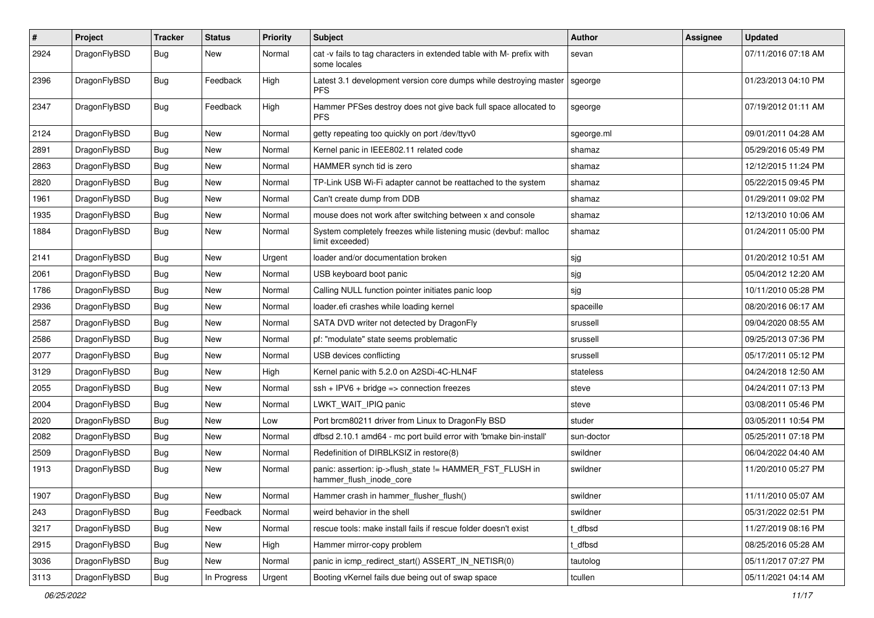| #    | Project      | <b>Tracker</b> | <b>Status</b> | <b>Priority</b> | Subject                                                                              | Author     | Assignee | <b>Updated</b>      |
|------|--------------|----------------|---------------|-----------------|--------------------------------------------------------------------------------------|------------|----------|---------------------|
| 2924 | DragonFlyBSD | Bug            | New           | Normal          | cat -v fails to tag characters in extended table with M- prefix with<br>some locales | sevan      |          | 07/11/2016 07:18 AM |
| 2396 | DragonFlyBSD | Bug            | Feedback      | High            | Latest 3.1 development version core dumps while destroying master<br><b>PFS</b>      | sgeorge    |          | 01/23/2013 04:10 PM |
| 2347 | DragonFlyBSD | <b>Bug</b>     | Feedback      | High            | Hammer PFSes destroy does not give back full space allocated to<br><b>PFS</b>        | sgeorge    |          | 07/19/2012 01:11 AM |
| 2124 | DragonFlyBSD | Bug            | <b>New</b>    | Normal          | getty repeating too quickly on port /dev/ttyv0                                       | sgeorge.ml |          | 09/01/2011 04:28 AM |
| 2891 | DragonFlyBSD | Bug            | <b>New</b>    | Normal          | Kernel panic in IEEE802.11 related code                                              | shamaz     |          | 05/29/2016 05:49 PM |
| 2863 | DragonFlyBSD | Bug            | <b>New</b>    | Normal          | HAMMER synch tid is zero                                                             | shamaz     |          | 12/12/2015 11:24 PM |
| 2820 | DragonFlyBSD | Bug            | <b>New</b>    | Normal          | TP-Link USB Wi-Fi adapter cannot be reattached to the system                         | shamaz     |          | 05/22/2015 09:45 PM |
| 1961 | DragonFlyBSD | Bug            | <b>New</b>    | Normal          | Can't create dump from DDB                                                           | shamaz     |          | 01/29/2011 09:02 PM |
| 1935 | DragonFlyBSD | Bug            | New           | Normal          | mouse does not work after switching between x and console                            | shamaz     |          | 12/13/2010 10:06 AM |
| 1884 | DragonFlyBSD | Bug            | <b>New</b>    | Normal          | System completely freezes while listening music (devbuf: malloc<br>limit exceeded)   | shamaz     |          | 01/24/2011 05:00 PM |
| 2141 | DragonFlyBSD | Bug            | <b>New</b>    | Urgent          | loader and/or documentation broken                                                   | sjg        |          | 01/20/2012 10:51 AM |
| 2061 | DragonFlyBSD | Bug            | <b>New</b>    | Normal          | USB keyboard boot panic                                                              | sjg        |          | 05/04/2012 12:20 AM |
| 1786 | DragonFlyBSD | <b>Bug</b>     | <b>New</b>    | Normal          | Calling NULL function pointer initiates panic loop                                   | sjg        |          | 10/11/2010 05:28 PM |
| 2936 | DragonFlyBSD | Bug            | <b>New</b>    | Normal          | loader.efi crashes while loading kernel                                              | spaceille  |          | 08/20/2016 06:17 AM |
| 2587 | DragonFlyBSD | <b>Bug</b>     | New           | Normal          | SATA DVD writer not detected by DragonFly                                            | srussell   |          | 09/04/2020 08:55 AM |
| 2586 | DragonFlyBSD | Bug            | <b>New</b>    | Normal          | pf: "modulate" state seems problematic                                               | srussell   |          | 09/25/2013 07:36 PM |
| 2077 | DragonFlyBSD | Bug            | <b>New</b>    | Normal          | USB devices conflicting                                                              | srussell   |          | 05/17/2011 05:12 PM |
| 3129 | DragonFlyBSD | Bug            | New           | High            | Kernel panic with 5.2.0 on A2SDi-4C-HLN4F                                            | stateless  |          | 04/24/2018 12:50 AM |
| 2055 | DragonFlyBSD | Bug            | <b>New</b>    | Normal          | $ssh + IPV6 + bridge \Rightarrow$ connection freezes                                 | steve      |          | 04/24/2011 07:13 PM |
| 2004 | DragonFlyBSD | Bug            | <b>New</b>    | Normal          | LWKT_WAIT_IPIQ panic                                                                 | steve      |          | 03/08/2011 05:46 PM |
| 2020 | DragonFlyBSD | Bug            | New           | Low             | Port brcm80211 driver from Linux to DragonFly BSD                                    | studer     |          | 03/05/2011 10:54 PM |
| 2082 | DragonFlyBSD | Bug            | <b>New</b>    | Normal          | dfbsd 2.10.1 amd64 - mc port build error with 'bmake bin-install'                    | sun-doctor |          | 05/25/2011 07:18 PM |
| 2509 | DragonFlyBSD | Bug            | New           | Normal          | Redefinition of DIRBLKSIZ in restore(8)                                              | swildner   |          | 06/04/2022 04:40 AM |
| 1913 | DragonFlyBSD | <b>Bug</b>     | <b>New</b>    | Normal          | panic: assertion: ip->flush_state != HAMMER_FST_FLUSH in<br>hammer_flush_inode_core  | swildner   |          | 11/20/2010 05:27 PM |
| 1907 | DragonFlyBSD | <b>Bug</b>     | New           | Normal          | Hammer crash in hammer_flusher_flush()                                               | swildner   |          | 11/11/2010 05:07 AM |
| 243  | DragonFlyBSD | <b>Bug</b>     | Feedback      | Normal          | weird behavior in the shell                                                          | swildner   |          | 05/31/2022 02:51 PM |
| 3217 | DragonFlyBSD | <b>Bug</b>     | <b>New</b>    | Normal          | rescue tools: make install fails if rescue folder doesn't exist                      | t dfbsd    |          | 11/27/2019 08:16 PM |
| 2915 | DragonFlyBSD | Bug            | New           | High            | Hammer mirror-copy problem                                                           | t_dfbsd    |          | 08/25/2016 05:28 AM |
| 3036 | DragonFlyBSD | <b>Bug</b>     | New           | Normal          | panic in icmp redirect start() ASSERT IN NETISR(0)                                   | tautolog   |          | 05/11/2017 07:27 PM |
| 3113 | DragonFlyBSD | <b>Bug</b>     | In Progress   | Urgent          | Booting vKernel fails due being out of swap space                                    | tcullen    |          | 05/11/2021 04:14 AM |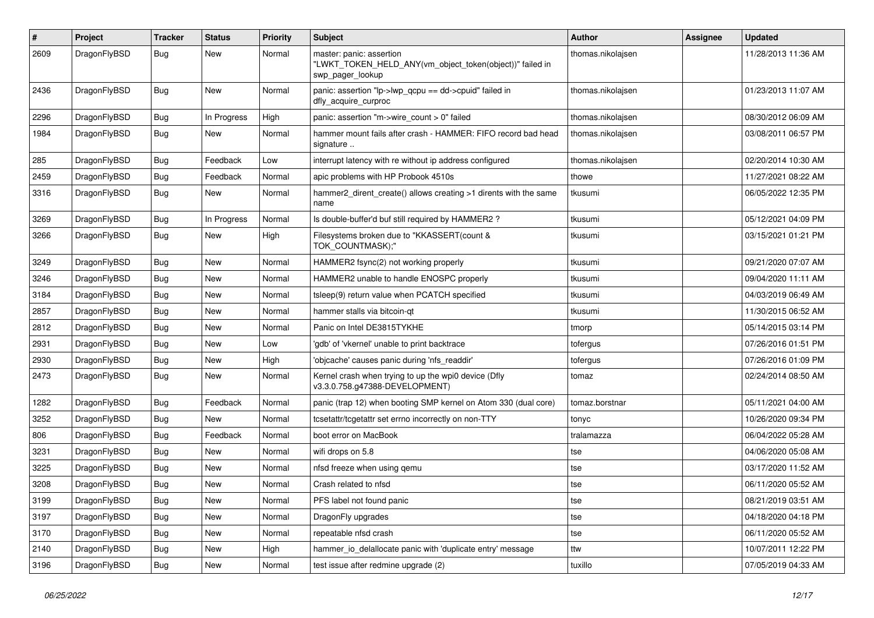| $\#$ | Project      | <b>Tracker</b> | <b>Status</b> | <b>Priority</b> | Subject                                                                                                  | Author            | <b>Assignee</b> | <b>Updated</b>      |
|------|--------------|----------------|---------------|-----------------|----------------------------------------------------------------------------------------------------------|-------------------|-----------------|---------------------|
| 2609 | DragonFlyBSD | Bug            | New           | Normal          | master: panic: assertion<br>"LWKT TOKEN HELD ANY(vm object token(object))" failed in<br>swp_pager_lookup | thomas.nikolajsen |                 | 11/28/2013 11:36 AM |
| 2436 | DragonFlyBSD | Bug            | <b>New</b>    | Normal          | panic: assertion "lp->lwp_qcpu == dd->cpuid" failed in<br>dfly_acquire_curproc                           | thomas.nikolajsen |                 | 01/23/2013 11:07 AM |
| 2296 | DragonFlyBSD | <b>Bug</b>     | In Progress   | High            | panic: assertion "m->wire count > 0" failed                                                              | thomas.nikolajsen |                 | 08/30/2012 06:09 AM |
| 1984 | DragonFlyBSD | <b>Bug</b>     | <b>New</b>    | Normal          | hammer mount fails after crash - HAMMER: FIFO record bad head<br>signature                               | thomas.nikolajsen |                 | 03/08/2011 06:57 PM |
| 285  | DragonFlyBSD | Bug            | Feedback      | Low             | interrupt latency with re without ip address configured                                                  | thomas.nikolajsen |                 | 02/20/2014 10:30 AM |
| 2459 | DragonFlyBSD | Bug            | Feedback      | Normal          | apic problems with HP Probook 4510s                                                                      | thowe             |                 | 11/27/2021 08:22 AM |
| 3316 | DragonFlyBSD | <b>Bug</b>     | <b>New</b>    | Normal          | hammer2_dirent_create() allows creating >1 dirents with the same<br>name                                 | tkusumi           |                 | 06/05/2022 12:35 PM |
| 3269 | DragonFlyBSD | Bug            | In Progress   | Normal          | Is double-buffer'd buf still required by HAMMER2 ?                                                       | tkusumi           |                 | 05/12/2021 04:09 PM |
| 3266 | DragonFlyBSD | Bug            | New           | High            | Filesystems broken due to "KKASSERT(count &<br>TOK_COUNTMASK);"                                          | tkusumi           |                 | 03/15/2021 01:21 PM |
| 3249 | DragonFlyBSD | Bug            | <b>New</b>    | Normal          | HAMMER2 fsync(2) not working properly                                                                    | tkusumi           |                 | 09/21/2020 07:07 AM |
| 3246 | DragonFlyBSD | Bug            | <b>New</b>    | Normal          | HAMMER2 unable to handle ENOSPC properly                                                                 | tkusumi           |                 | 09/04/2020 11:11 AM |
| 3184 | DragonFlyBSD | Bug            | <b>New</b>    | Normal          | tsleep(9) return value when PCATCH specified                                                             | tkusumi           |                 | 04/03/2019 06:49 AM |
| 2857 | DragonFlyBSD | <b>Bug</b>     | <b>New</b>    | Normal          | hammer stalls via bitcoin-qt                                                                             | tkusumi           |                 | 11/30/2015 06:52 AM |
| 2812 | DragonFlyBSD | Bug            | <b>New</b>    | Normal          | Panic on Intel DE3815TYKHE                                                                               | tmorp             |                 | 05/14/2015 03:14 PM |
| 2931 | DragonFlyBSD | Bug            | <b>New</b>    | Low             | 'gdb' of 'vkernel' unable to print backtrace                                                             | tofergus          |                 | 07/26/2016 01:51 PM |
| 2930 | DragonFlyBSD | <b>Bug</b>     | New           | High            | 'objcache' causes panic during 'nfs_readdir'                                                             | tofergus          |                 | 07/26/2016 01:09 PM |
| 2473 | DragonFlyBSD | <b>Bug</b>     | <b>New</b>    | Normal          | Kernel crash when trying to up the wpi0 device (Dfly<br>v3.3.0.758.g47388-DEVELOPMENT)                   | tomaz             |                 | 02/24/2014 08:50 AM |
| 1282 | DragonFlyBSD | Bug            | Feedback      | Normal          | panic (trap 12) when booting SMP kernel on Atom 330 (dual core)                                          | tomaz.borstnar    |                 | 05/11/2021 04:00 AM |
| 3252 | DragonFlyBSD | Bug            | New           | Normal          | tcsetattr/tcgetattr set errno incorrectly on non-TTY                                                     | tonyc             |                 | 10/26/2020 09:34 PM |
| 806  | DragonFlyBSD | Bug            | Feedback      | Normal          | boot error on MacBook                                                                                    | tralamazza        |                 | 06/04/2022 05:28 AM |
| 3231 | DragonFlyBSD | Bug            | New           | Normal          | wifi drops on 5.8                                                                                        | tse               |                 | 04/06/2020 05:08 AM |
| 3225 | DragonFlyBSD | <b>Bug</b>     | New           | Normal          | nfsd freeze when using gemu                                                                              | tse               |                 | 03/17/2020 11:52 AM |
| 3208 | DragonFlyBSD | Bug            | New           | Normal          | Crash related to nfsd                                                                                    | tse               |                 | 06/11/2020 05:52 AM |
| 3199 | DragonFlyBSD | Bug            | New           | Normal          | PFS label not found panic                                                                                | tse               |                 | 08/21/2019 03:51 AM |
| 3197 | DragonFlyBSD | <b>Bug</b>     | New           | Normal          | DragonFly upgrades                                                                                       | tse               |                 | 04/18/2020 04:18 PM |
| 3170 | DragonFlyBSD | <b>Bug</b>     | New           | Normal          | repeatable nfsd crash                                                                                    | tse               |                 | 06/11/2020 05:52 AM |
| 2140 | DragonFlyBSD | <b>Bug</b>     | New           | High            | hammer_io_delallocate panic with 'duplicate entry' message                                               | ttw               |                 | 10/07/2011 12:22 PM |
| 3196 | DragonFlyBSD | <b>Bug</b>     | New           | Normal          | test issue after redmine upgrade (2)                                                                     | tuxillo           |                 | 07/05/2019 04:33 AM |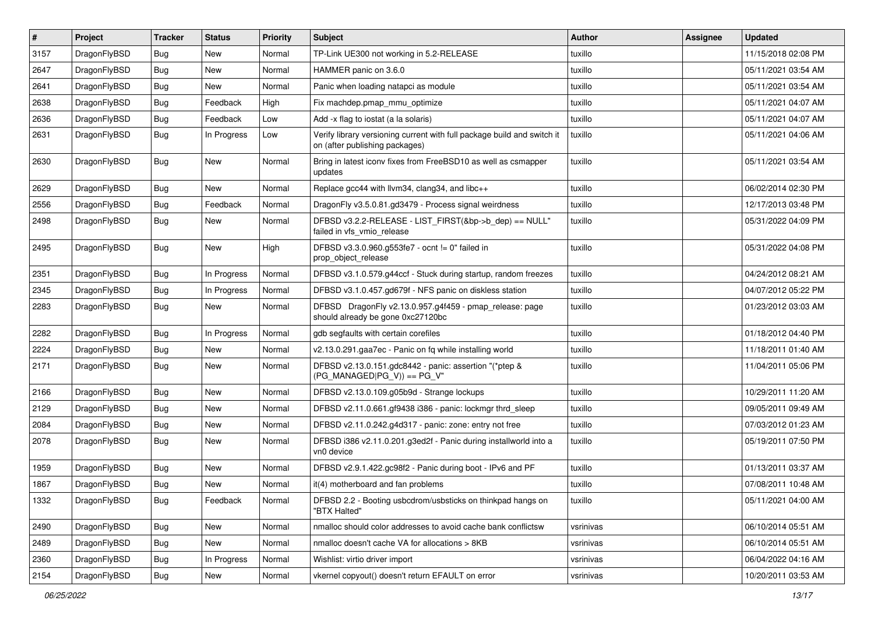| $\vert$ # | Project      | <b>Tracker</b> | <b>Status</b> | <b>Priority</b> | <b>Subject</b>                                                                                            | Author    | <b>Assignee</b> | <b>Updated</b>      |
|-----------|--------------|----------------|---------------|-----------------|-----------------------------------------------------------------------------------------------------------|-----------|-----------------|---------------------|
| 3157      | DragonFlyBSD | Bug            | New           | Normal          | TP-Link UE300 not working in 5.2-RELEASE                                                                  | tuxillo   |                 | 11/15/2018 02:08 PM |
| 2647      | DragonFlyBSD | <b>Bug</b>     | <b>New</b>    | Normal          | HAMMER panic on 3.6.0                                                                                     | tuxillo   |                 | 05/11/2021 03:54 AM |
| 2641      | DragonFlyBSD | Bug            | <b>New</b>    | Normal          | Panic when loading natapci as module                                                                      | tuxillo   |                 | 05/11/2021 03:54 AM |
| 2638      | DragonFlyBSD | Bug            | Feedback      | High            | Fix machdep.pmap mmu optimize                                                                             | tuxillo   |                 | 05/11/2021 04:07 AM |
| 2636      | DragonFlyBSD | <b>Bug</b>     | Feedback      | Low             | Add -x flag to iostat (a la solaris)                                                                      | tuxillo   |                 | 05/11/2021 04:07 AM |
| 2631      | DragonFlyBSD | Bug            | In Progress   | Low             | Verify library versioning current with full package build and switch it<br>on (after publishing packages) | tuxillo   |                 | 05/11/2021 04:06 AM |
| 2630      | DragonFlyBSD | <b>Bug</b>     | New           | Normal          | Bring in latest iconv fixes from FreeBSD10 as well as csmapper<br>updates                                 | tuxillo   |                 | 05/11/2021 03:54 AM |
| 2629      | DragonFlyBSD | <b>Bug</b>     | <b>New</b>    | Normal          | Replace gcc44 with llvm34, clang34, and libc++                                                            | tuxillo   |                 | 06/02/2014 02:30 PM |
| 2556      | DragonFlyBSD | Bug            | Feedback      | Normal          | DragonFly v3.5.0.81.gd3479 - Process signal weirdness                                                     | tuxillo   |                 | 12/17/2013 03:48 PM |
| 2498      | DragonFlyBSD | Bug            | New           | Normal          | DFBSD v3.2.2-RELEASE - LIST_FIRST(&bp->b_dep) == NULL"<br>failed in vfs_vmio_release                      | tuxillo   |                 | 05/31/2022 04:09 PM |
| 2495      | DragonFlyBSD | Bug            | New           | High            | DFBSD v3.3.0.960.g553fe7 - ocnt != 0" failed in<br>prop object release                                    | tuxillo   |                 | 05/31/2022 04:08 PM |
| 2351      | DragonFlyBSD | <b>Bug</b>     | In Progress   | Normal          | DFBSD v3.1.0.579.g44ccf - Stuck during startup, random freezes                                            | tuxillo   |                 | 04/24/2012 08:21 AM |
| 2345      | DragonFlyBSD | Bug            | In Progress   | Normal          | DFBSD v3.1.0.457.gd679f - NFS panic on diskless station                                                   | tuxillo   |                 | 04/07/2012 05:22 PM |
| 2283      | DragonFlyBSD | Bug            | New           | Normal          | DFBSD DragonFly v2.13.0.957.g4f459 - pmap_release: page<br>should already be gone 0xc27120bc              | tuxillo   |                 | 01/23/2012 03:03 AM |
| 2282      | DragonFlyBSD | Bug            | In Progress   | Normal          | gdb segfaults with certain corefiles                                                                      | tuxillo   |                 | 01/18/2012 04:40 PM |
| 2224      | DragonFlyBSD | Bug            | <b>New</b>    | Normal          | v2.13.0.291.gaa7ec - Panic on fq while installing world                                                   | tuxillo   |                 | 11/18/2011 01:40 AM |
| 2171      | DragonFlyBSD | Bug            | New           | Normal          | DFBSD v2.13.0.151.gdc8442 - panic: assertion "(*ptep &<br>$(PG$ MANAGED PG_V)) == PG_V"                   | tuxillo   |                 | 11/04/2011 05:06 PM |
| 2166      | DragonFlyBSD | Bug            | New           | Normal          | DFBSD v2.13.0.109.g05b9d - Strange lockups                                                                | tuxillo   |                 | 10/29/2011 11:20 AM |
| 2129      | DragonFlyBSD | Bug            | <b>New</b>    | Normal          | DFBSD v2.11.0.661.gf9438 i386 - panic: lockmgr thrd_sleep                                                 | tuxillo   |                 | 09/05/2011 09:49 AM |
| 2084      | DragonFlyBSD | <b>Bug</b>     | <b>New</b>    | Normal          | DFBSD v2.11.0.242.g4d317 - panic: zone: entry not free                                                    | tuxillo   |                 | 07/03/2012 01:23 AM |
| 2078      | DragonFlyBSD | Bug            | New           | Normal          | DFBSD i386 v2.11.0.201.g3ed2f - Panic during installworld into a<br>vn0 device                            | tuxillo   |                 | 05/19/2011 07:50 PM |
| 1959      | DragonFlyBSD | Bug            | <b>New</b>    | Normal          | DFBSD v2.9.1.422.gc98f2 - Panic during boot - IPv6 and PF                                                 | tuxillo   |                 | 01/13/2011 03:37 AM |
| 1867      | DragonFlyBSD | <b>Bug</b>     | New           | Normal          | it(4) motherboard and fan problems                                                                        | tuxillo   |                 | 07/08/2011 10:48 AM |
| 1332      | DragonFlyBSD | Bug            | Feedback      | Normal          | DFBSD 2.2 - Booting usbcdrom/usbsticks on thinkpad hangs on<br>"BTX Halted"                               | tuxillo   |                 | 05/11/2021 04:00 AM |
| 2490      | DragonFlyBSD | Bug            | New           | Normal          | nmalloc should color addresses to avoid cache bank conflictsw                                             | vsrinivas |                 | 06/10/2014 05:51 AM |
| 2489      | DragonFlyBSD | Bug            | New           | Normal          | nmalloc doesn't cache VA for allocations > 8KB                                                            | vsrinivas |                 | 06/10/2014 05:51 AM |
| 2360      | DragonFlyBSD | Bug            | In Progress   | Normal          | Wishlist: virtio driver import                                                                            | vsrinivas |                 | 06/04/2022 04:16 AM |
| 2154      | DragonFlyBSD | Bug            | New           | Normal          | vkernel copyout() doesn't return EFAULT on error                                                          | vsrinivas |                 | 10/20/2011 03:53 AM |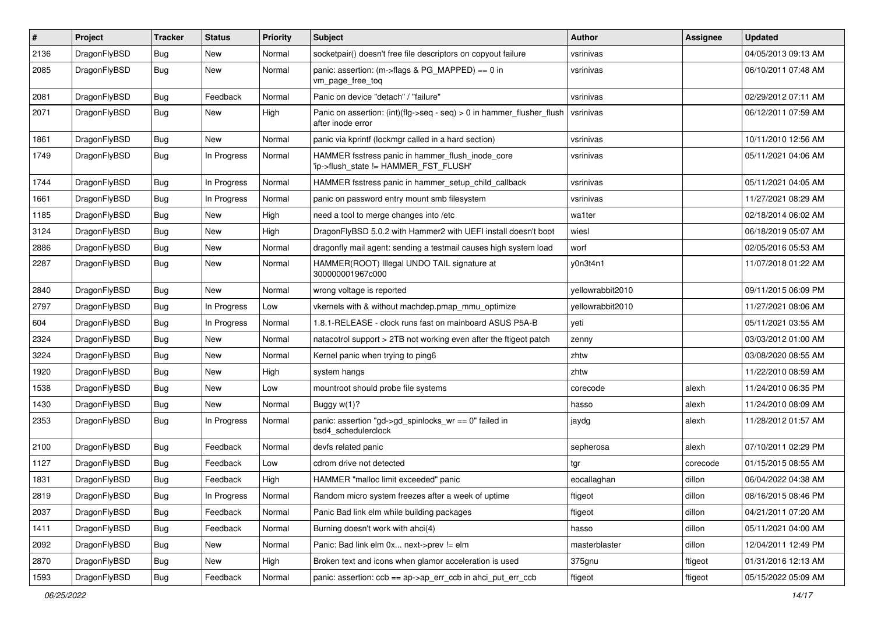| $\pmb{\#}$ | Project      | <b>Tracker</b> | <b>Status</b> | <b>Priority</b> | Subject                                                                                    | <b>Author</b>    | Assignee | <b>Updated</b>      |
|------------|--------------|----------------|---------------|-----------------|--------------------------------------------------------------------------------------------|------------------|----------|---------------------|
| 2136       | DragonFlyBSD | Bug            | New           | Normal          | socketpair() doesn't free file descriptors on copyout failure                              | vsrinivas        |          | 04/05/2013 09:13 AM |
| 2085       | DragonFlyBSD | Bug            | New           | Normal          | panic: assertion: (m->flags & PG_MAPPED) == 0 in<br>vm_page_free_toq                       | vsrinivas        |          | 06/10/2011 07:48 AM |
| 2081       | DragonFlyBSD | <b>Bug</b>     | Feedback      | Normal          | Panic on device "detach" / "failure"                                                       | vsrinivas        |          | 02/29/2012 07:11 AM |
| 2071       | DragonFlyBSD | Bug            | <b>New</b>    | High            | Panic on assertion: (int)(flg->seq - seq) > 0 in hammer_flusher_flush<br>after inode error | vsrinivas        |          | 06/12/2011 07:59 AM |
| 1861       | DragonFlyBSD | Bug            | New           | Normal          | panic via kprintf (lockmgr called in a hard section)                                       | vsrinivas        |          | 10/11/2010 12:56 AM |
| 1749       | DragonFlyBSD | Bug            | In Progress   | Normal          | HAMMER fsstress panic in hammer_flush_inode_core<br>'ip->flush state != HAMMER FST FLUSH'  | vsrinivas        |          | 05/11/2021 04:06 AM |
| 1744       | DragonFlyBSD | Bug            | In Progress   | Normal          | HAMMER fsstress panic in hammer_setup_child_callback                                       | vsrinivas        |          | 05/11/2021 04:05 AM |
| 1661       | DragonFlyBSD | Bug            | In Progress   | Normal          | panic on password entry mount smb filesystem                                               | vsrinivas        |          | 11/27/2021 08:29 AM |
| 1185       | DragonFlyBSD | Bug            | New           | High            | need a tool to merge changes into /etc                                                     | wa1ter           |          | 02/18/2014 06:02 AM |
| 3124       | DragonFlyBSD | Bug            | <b>New</b>    | High            | DragonFlyBSD 5.0.2 with Hammer2 with UEFI install doesn't boot                             | wiesl            |          | 06/18/2019 05:07 AM |
| 2886       | DragonFlyBSD | Bug            | New           | Normal          | dragonfly mail agent: sending a testmail causes high system load                           | worf             |          | 02/05/2016 05:53 AM |
| 2287       | DragonFlyBSD | Bug            | New           | Normal          | HAMMER(ROOT) Illegal UNDO TAIL signature at<br>300000001967c000                            | y0n3t4n1         |          | 11/07/2018 01:22 AM |
| 2840       | DragonFlyBSD | Bug            | <b>New</b>    | Normal          | wrong voltage is reported                                                                  | vellowrabbit2010 |          | 09/11/2015 06:09 PM |
| 2797       | DragonFlyBSD | Bug            | In Progress   | Low             | vkernels with & without machdep.pmap_mmu_optimize                                          | yellowrabbit2010 |          | 11/27/2021 08:06 AM |
| 604        | DragonFlyBSD | Bug            | In Progress   | Normal          | 1.8.1-RELEASE - clock runs fast on mainboard ASUS P5A-B                                    | yeti             |          | 05/11/2021 03:55 AM |
| 2324       | DragonFlyBSD | Bug            | New           | Normal          | natacotrol support > 2TB not working even after the ftigeot patch                          | zenny            |          | 03/03/2012 01:00 AM |
| 3224       | DragonFlyBSD | Bug            | <b>New</b>    | Normal          | Kernel panic when trying to ping6                                                          | zhtw             |          | 03/08/2020 08:55 AM |
| 1920       | DragonFlyBSD | Bug            | <b>New</b>    | High            | system hangs                                                                               | zhtw             |          | 11/22/2010 08:59 AM |
| 1538       | DragonFlyBSD | Bug            | New           | Low             | mountroot should probe file systems                                                        | corecode         | alexh    | 11/24/2010 06:35 PM |
| 1430       | DragonFlyBSD | Bug            | New           | Normal          | Buggy w(1)?                                                                                | hasso            | alexh    | 11/24/2010 08:09 AM |
| 2353       | DragonFlyBSD | Bug            | In Progress   | Normal          | panic: assertion "gd->gd_spinlocks_wr == 0" failed in<br>bsd4_schedulerclock               | jaydg            | alexh    | 11/28/2012 01:57 AM |
| 2100       | DragonFlyBSD | Bug            | Feedback      | Normal          | devfs related panic                                                                        | sepherosa        | alexh    | 07/10/2011 02:29 PM |
| 1127       | DragonFlyBSD | Bug            | Feedback      | Low             | cdrom drive not detected                                                                   | tgr              | corecode | 01/15/2015 08:55 AM |
| 1831       | DragonFlyBSD | Bug            | Feedback      | High            | HAMMER "malloc limit exceeded" panic                                                       | eocallaghan      | dillon   | 06/04/2022 04:38 AM |
| 2819       | DragonFlyBSD | Bug            | In Progress   | Normal          | Random micro system freezes after a week of uptime                                         | ftigeot          | dillon   | 08/16/2015 08:46 PM |
| 2037       | DragonFlyBSD | <b>Bug</b>     | Feedback      | Normal          | Panic Bad link elm while building packages                                                 | ftigeot          | dillon   | 04/21/2011 07:20 AM |
| 1411       | DragonFlyBSD | <b>Bug</b>     | Feedback      | Normal          | Burning doesn't work with ahci(4)                                                          | hasso            | dillon   | 05/11/2021 04:00 AM |
| 2092       | DragonFlyBSD | <b>Bug</b>     | New           | Normal          | Panic: Bad link elm 0x next->prev != elm                                                   | masterblaster    | dillon   | 12/04/2011 12:49 PM |
| 2870       | DragonFlyBSD | <b>Bug</b>     | New           | High            | Broken text and icons when glamor acceleration is used                                     | 375gnu           | ftigeot  | 01/31/2016 12:13 AM |
| 1593       | DragonFlyBSD | Bug            | Feedback      | Normal          | panic: assertion: ccb == ap->ap_err_ccb in ahci_put_err_ccb                                | ftigeot          | ftigeot  | 05/15/2022 05:09 AM |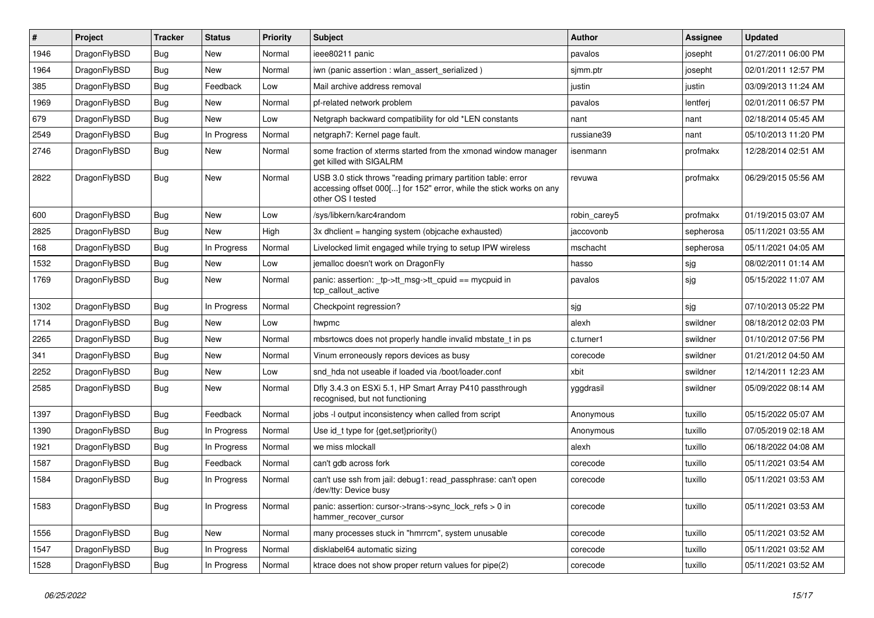| $\sharp$ | Project      | <b>Tracker</b> | <b>Status</b> | <b>Priority</b> | Subject                                                                                                                                                  | <b>Author</b> | <b>Assignee</b> | <b>Updated</b>      |
|----------|--------------|----------------|---------------|-----------------|----------------------------------------------------------------------------------------------------------------------------------------------------------|---------------|-----------------|---------------------|
| 1946     | DragonFlyBSD | Bug            | <b>New</b>    | Normal          | ieee80211 panic                                                                                                                                          | pavalos       | josepht         | 01/27/2011 06:00 PM |
| 1964     | DragonFlyBSD | <b>Bug</b>     | New           | Normal          | iwn (panic assertion : wlan assert serialized)                                                                                                           | sjmm.ptr      | josepht         | 02/01/2011 12:57 PM |
| 385      | DragonFlyBSD | <b>Bug</b>     | Feedback      | Low             | Mail archive address removal                                                                                                                             | justin        | justin          | 03/09/2013 11:24 AM |
| 1969     | DragonFlyBSD | Bug            | New           | Normal          | pf-related network problem                                                                                                                               | pavalos       | lentferj        | 02/01/2011 06:57 PM |
| 679      | DragonFlyBSD | Bug            | <b>New</b>    | Low             | Netgraph backward compatibility for old *LEN constants                                                                                                   | nant          | nant            | 02/18/2014 05:45 AM |
| 2549     | DragonFlyBSD | <b>Bug</b>     | In Progress   | Normal          | netgraph7: Kernel page fault.                                                                                                                            | russiane39    | nant            | 05/10/2013 11:20 PM |
| 2746     | DragonFlyBSD | Bug            | New           | Normal          | some fraction of xterms started from the xmonad window manager<br>get killed with SIGALRM                                                                | isenmann      | profmakx        | 12/28/2014 02:51 AM |
| 2822     | DragonFlyBSD | Bug            | New           | Normal          | USB 3.0 stick throws "reading primary partition table: error<br>accessing offset 000[] for 152" error, while the stick works on any<br>other OS I tested | revuwa        | profmakx        | 06/29/2015 05:56 AM |
| 600      | DragonFlyBSD | Bug            | New           | Low             | /sys/libkern/karc4random                                                                                                                                 | robin carey5  | profmakx        | 01/19/2015 03:07 AM |
| 2825     | DragonFlyBSD | Bug            | <b>New</b>    | High            | 3x dhclient = hanging system (objcache exhausted)                                                                                                        | jaccovonb     | sepherosa       | 05/11/2021 03:55 AM |
| 168      | DragonFlyBSD | Bug            | In Progress   | Normal          | Livelocked limit engaged while trying to setup IPW wireless                                                                                              | mschacht      | sepherosa       | 05/11/2021 04:05 AM |
| 1532     | DragonFlyBSD | Bug            | New           | Low             | jemalloc doesn't work on DragonFly                                                                                                                       | hasso         | sjg             | 08/02/2011 01:14 AM |
| 1769     | DragonFlyBSD | Bug            | New           | Normal          | panic: assertion: _tp->tt_msg->tt_cpuid == mycpuid in<br>tcp callout active                                                                              | pavalos       | sjg             | 05/15/2022 11:07 AM |
| 1302     | DragonFlyBSD | Bug            | In Progress   | Normal          | Checkpoint regression?                                                                                                                                   | sjg           | sjg             | 07/10/2013 05:22 PM |
| 1714     | DragonFlyBSD | Bug            | New           | Low             | hwpmc                                                                                                                                                    | alexh         | swildner        | 08/18/2012 02:03 PM |
| 2265     | DragonFlyBSD | Bug            | New           | Normal          | mbsrtowcs does not properly handle invalid mbstate_t in ps                                                                                               | c.turner1     | swildner        | 01/10/2012 07:56 PM |
| 341      | DragonFlyBSD | Bug            | New           | Normal          | Vinum erroneously repors devices as busy                                                                                                                 | corecode      | swildner        | 01/21/2012 04:50 AM |
| 2252     | DragonFlyBSD | <b>Bug</b>     | New           | Low             | snd hda not useable if loaded via /boot/loader.conf                                                                                                      | xbit          | swildner        | 12/14/2011 12:23 AM |
| 2585     | DragonFlyBSD | <b>Bug</b>     | New           | Normal          | Dfly 3.4.3 on ESXi 5.1, HP Smart Array P410 passthrough<br>recognised, but not functioning                                                               | yggdrasil     | swildner        | 05/09/2022 08:14 AM |
| 1397     | DragonFlyBSD | Bug            | Feedback      | Normal          | jobs -I output inconsistency when called from script                                                                                                     | Anonymous     | tuxillo         | 05/15/2022 05:07 AM |
| 1390     | DragonFlyBSD | <b>Bug</b>     | In Progress   | Normal          | Use id_t type for {get,set}priority()                                                                                                                    | Anonymous     | tuxillo         | 07/05/2019 02:18 AM |
| 1921     | DragonFlyBSD | <b>Bug</b>     | In Progress   | Normal          | we miss mlockall                                                                                                                                         | alexh         | tuxillo         | 06/18/2022 04:08 AM |
| 1587     | DragonFlyBSD | Bug            | Feedback      | Normal          | can't gdb across fork                                                                                                                                    | corecode      | tuxillo         | 05/11/2021 03:54 AM |
| 1584     | DragonFlyBSD | Bug            | In Progress   | Normal          | can't use ssh from jail: debug1: read passphrase: can't open<br>/dev/tty: Device busy                                                                    | corecode      | tuxillo         | 05/11/2021 03:53 AM |
| 1583     | DragonFlyBSD | <b>Bug</b>     | In Progress   | Normal          | panic: assertion: cursor->trans->sync_lock_refs > 0 in<br>hammer recover cursor                                                                          | corecode      | tuxillo         | 05/11/2021 03:53 AM |
| 1556     | DragonFlyBSD | Bug            | New           | Normal          | many processes stuck in "hmrrcm", system unusable                                                                                                        | corecode      | tuxillo         | 05/11/2021 03:52 AM |
| 1547     | DragonFlyBSD | <b>Bug</b>     | In Progress   | Normal          | disklabel64 automatic sizing                                                                                                                             | corecode      | tuxillo         | 05/11/2021 03:52 AM |
| 1528     | DragonFlyBSD | Bug            | In Progress   | Normal          | ktrace does not show proper return values for pipe(2)                                                                                                    | corecode      | tuxillo         | 05/11/2021 03:52 AM |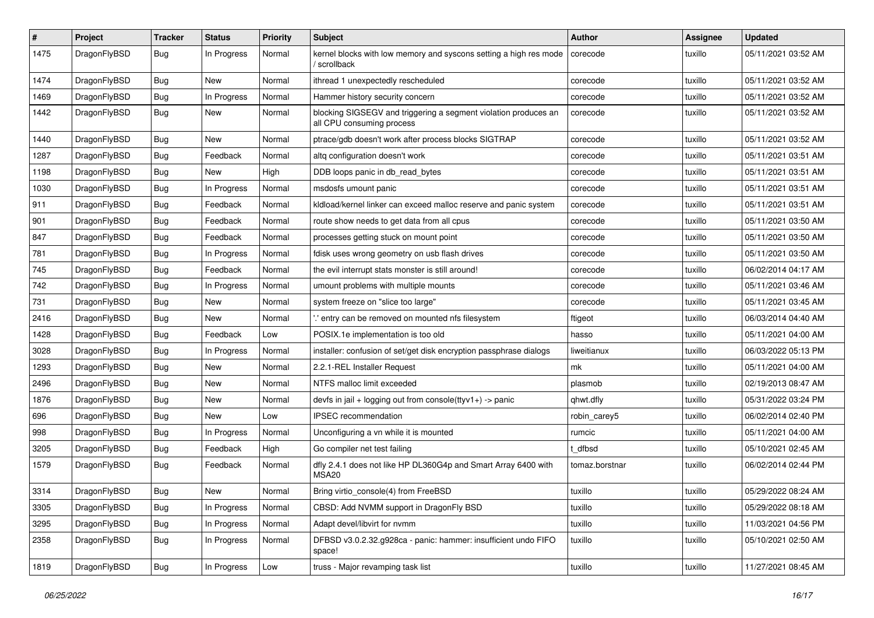| $\#$ | Project      | <b>Tracker</b> | <b>Status</b> | <b>Priority</b> | Subject                                                                                      | <b>Author</b>  | <b>Assignee</b> | <b>Updated</b>      |
|------|--------------|----------------|---------------|-----------------|----------------------------------------------------------------------------------------------|----------------|-----------------|---------------------|
| 1475 | DragonFlyBSD | Bug            | In Progress   | Normal          | kernel blocks with low memory and syscons setting a high res mode<br>/ scrollback            | corecode       | tuxillo         | 05/11/2021 03:52 AM |
| 1474 | DragonFlyBSD | <b>Bug</b>     | New           | Normal          | ithread 1 unexpectedly rescheduled                                                           | corecode       | tuxillo         | 05/11/2021 03:52 AM |
| 1469 | DragonFlyBSD | Bug            | In Progress   | Normal          | Hammer history security concern                                                              | corecode       | tuxillo         | 05/11/2021 03:52 AM |
| 1442 | DragonFlyBSD | Bug            | New           | Normal          | blocking SIGSEGV and triggering a segment violation produces an<br>all CPU consuming process | corecode       | tuxillo         | 05/11/2021 03:52 AM |
| 1440 | DragonFlyBSD | <b>Bug</b>     | New           | Normal          | ptrace/gdb doesn't work after process blocks SIGTRAP                                         | corecode       | tuxillo         | 05/11/2021 03:52 AM |
| 1287 | DragonFlyBSD | <b>Bug</b>     | Feedback      | Normal          | altg configuration doesn't work                                                              | corecode       | tuxillo         | 05/11/2021 03:51 AM |
| 1198 | DragonFlyBSD | <b>Bug</b>     | <b>New</b>    | High            | DDB loops panic in db_read_bytes                                                             | corecode       | tuxillo         | 05/11/2021 03:51 AM |
| 1030 | DragonFlyBSD | Bug            | In Progress   | Normal          | msdosfs umount panic                                                                         | corecode       | tuxillo         | 05/11/2021 03:51 AM |
| 911  | DragonFlyBSD | <b>Bug</b>     | Feedback      | Normal          | kldload/kernel linker can exceed malloc reserve and panic system                             | corecode       | tuxillo         | 05/11/2021 03:51 AM |
| 901  | DragonFlyBSD | <b>Bug</b>     | Feedback      | Normal          | route show needs to get data from all cpus                                                   | corecode       | tuxillo         | 05/11/2021 03:50 AM |
| 847  | DragonFlyBSD | Bug            | Feedback      | Normal          | processes getting stuck on mount point                                                       | corecode       | tuxillo         | 05/11/2021 03:50 AM |
| 781  | DragonFlyBSD | <b>Bug</b>     | In Progress   | Normal          | fdisk uses wrong geometry on usb flash drives                                                | corecode       | tuxillo         | 05/11/2021 03:50 AM |
| 745  | DragonFlyBSD | Bug            | Feedback      | Normal          | the evil interrupt stats monster is still around!                                            | corecode       | tuxillo         | 06/02/2014 04:17 AM |
| 742  | DragonFlyBSD | <b>Bug</b>     | In Progress   | Normal          | umount problems with multiple mounts                                                         | corecode       | tuxillo         | 05/11/2021 03:46 AM |
| 731  | DragonFlyBSD | <b>Bug</b>     | <b>New</b>    | Normal          | system freeze on "slice too large"                                                           | corecode       | tuxillo         | 05/11/2021 03:45 AM |
| 2416 | DragonFlyBSD | <b>Bug</b>     | New           | Normal          | ".' entry can be removed on mounted nfs filesystem                                           | ftigeot        | tuxillo         | 06/03/2014 04:40 AM |
| 1428 | DragonFlyBSD | <b>Bug</b>     | Feedback      | Low             | POSIX.1e implementation is too old                                                           | hasso          | tuxillo         | 05/11/2021 04:00 AM |
| 3028 | DragonFlyBSD | <b>Bug</b>     | In Progress   | Normal          | installer: confusion of set/get disk encryption passphrase dialogs                           | liweitianux    | tuxillo         | 06/03/2022 05:13 PM |
| 1293 | DragonFlyBSD | Bug            | New           | Normal          | 2.2.1-REL Installer Request                                                                  | mk             | tuxillo         | 05/11/2021 04:00 AM |
| 2496 | DragonFlyBSD | <b>Bug</b>     | New           | Normal          | NTFS malloc limit exceeded                                                                   | plasmob        | tuxillo         | 02/19/2013 08:47 AM |
| 1876 | DragonFlyBSD | <b>Bug</b>     | New           | Normal          | devfs in jail + logging out from console(ttyv1+) -> panic                                    | qhwt.dfly      | tuxillo         | 05/31/2022 03:24 PM |
| 696  | DragonFlyBSD | Bug            | New           | Low             | <b>IPSEC</b> recommendation                                                                  | robin_carey5   | tuxillo         | 06/02/2014 02:40 PM |
| 998  | DragonFlyBSD | <b>Bug</b>     | In Progress   | Normal          | Unconfiguring a vn while it is mounted                                                       | rumcic         | tuxillo         | 05/11/2021 04:00 AM |
| 3205 | DragonFlyBSD | Bug            | Feedback      | High            | Go compiler net test failing                                                                 | t dfbsd        | tuxillo         | 05/10/2021 02:45 AM |
| 1579 | DragonFlyBSD | <b>Bug</b>     | Feedback      | Normal          | dfly 2.4.1 does not like HP DL360G4p and Smart Array 6400 with<br>MSA20                      | tomaz.borstnar | tuxillo         | 06/02/2014 02:44 PM |
| 3314 | DragonFlyBSD | Bug            | New           | Normal          | Bring virtio_console(4) from FreeBSD                                                         | tuxillo        | tuxillo         | 05/29/2022 08:24 AM |
| 3305 | DragonFlyBSD | Bug            | In Progress   | Normal          | CBSD: Add NVMM support in DragonFly BSD                                                      | tuxillo        | tuxillo         | 05/29/2022 08:18 AM |
| 3295 | DragonFlyBSD | <b>Bug</b>     | In Progress   | Normal          | Adapt devel/libvirt for nvmm                                                                 | tuxillo        | tuxillo         | 11/03/2021 04:56 PM |
| 2358 | DragonFlyBSD | <b>Bug</b>     | In Progress   | Normal          | DFBSD v3.0.2.32.g928ca - panic: hammer: insufficient undo FIFO<br>space!                     | tuxillo        | tuxillo         | 05/10/2021 02:50 AM |
| 1819 | DragonFlyBSD | <b>Bug</b>     | In Progress   | Low             | truss - Major revamping task list                                                            | tuxillo        | tuxillo         | 11/27/2021 08:45 AM |